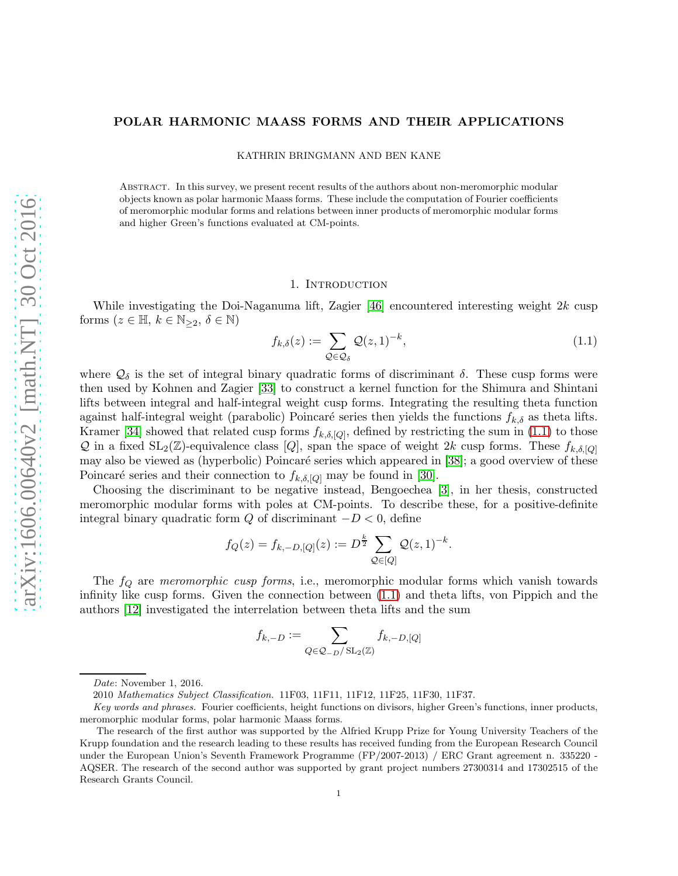# POLAR HARMONIC MAASS FORMS AND THEIR APPLICATIONS

KATHRIN BRINGMANN AND BEN KANE

Abstract. In this survey, we present recent results of the authors about non-meromorphic modular objects known as polar harmonic Maass forms. These include the computation of Fourier coefficients of meromorphic modular forms and relations between inner products of meromorphic modular forms and higher Green's functions evaluated at CM-points.

#### 1. Introduction

While investigating the Doi-Naganuma lift, Zagier [\[46\]](#page-18-0) encountered interesting weight  $2k$  cusp forms  $(z \in \mathbb{H}, k \in \mathbb{N}_{\geq 2}, \delta \in \mathbb{N})$ 

<span id="page-0-0"></span>
$$
f_{k,\delta}(z) := \sum_{\mathcal{Q} \in \mathcal{Q}_{\delta}} \mathcal{Q}(z,1)^{-k},\tag{1.1}
$$

where  $\mathcal{Q}_{\delta}$  is the set of integral binary quadratic forms of discriminant  $\delta$ . These cusp forms were then used by Kohnen and Zagier [\[33\]](#page-17-0) to construct a kernel function for the Shimura and Shintani lifts between integral and half-integral weight cusp forms. Integrating the resulting theta function against half-integral weight (parabolic) Poincaré series then yields the functions  $f_{k,\delta}$  as theta lifts. Kramer [\[34\]](#page-17-1) showed that related cusp forms  $f_{k,\delta,[Q]}$ , defined by restricting the sum in [\(1.1\)](#page-0-0) to those Q in a fixed  $SL_2(\mathbb{Z})$ -equivalence class [Q], span the space of weight 2k cusp forms. These  $f_{k,\delta,[Q]}$ may also be viewed as (hyperbolic) Poincaré series which appeared in [\[38\]](#page-17-2); a good overview of these Poincaré series and their connection to  $f_{k,\delta,[Q]}$  may be found in [\[30\]](#page-17-3).

Choosing the discriminant to be negative instead, Bengoechea [\[3\]](#page-16-0), in her thesis, constructed meromorphic modular forms with poles at CM-points. To describe these, for a positive-definite integral binary quadratic form  $Q$  of discriminant  $-D < 0$ , define

$$
f_Q(z) = f_{k,-D,[Q]}(z) := D^{\frac{k}{2}} \sum_{\mathcal{Q} \in [Q]} \mathcal{Q}(z,1)^{-k}.
$$

The  $f_Q$  are *meromorphic cusp forms*, i.e., meromorphic modular forms which vanish towards infinity like cusp forms. Given the connection between [\(1.1\)](#page-0-0) and theta lifts, von Pippich and the authors [\[12\]](#page-17-4) investigated the interrelation between theta lifts and the sum

$$
f_{k,-D} := \sum_{Q \in \mathcal{Q}_{-D}/\mathrm{SL}_2(\mathbb{Z})} f_{k,-D,[Q]}
$$

Date: November 1, 2016.

<sup>2010</sup> Mathematics Subject Classification. 11F03, 11F11, 11F12, 11F25, 11F30, 11F37.

Key words and phrases. Fourier coefficients, height functions on divisors, higher Green's functions, inner products, meromorphic modular forms, polar harmonic Maass forms.

The research of the first author was supported by the Alfried Krupp Prize for Young University Teachers of the Krupp foundation and the research leading to these results has received funding from the European Research Council under the European Union's Seventh Framework Programme (FP/2007-2013) / ERC Grant agreement n. 335220 - AQSER. The research of the second author was supported by grant project numbers 27300314 and 17302515 of the Research Grants Council.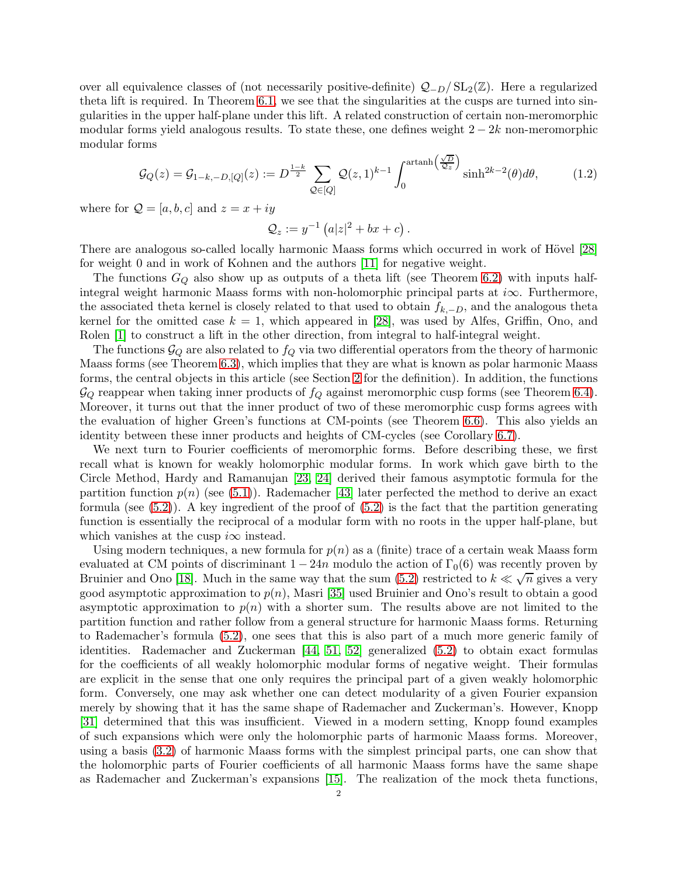over all equivalence classes of (not necessarily positive-definite)  $Q_{-D}/SL_2(\mathbb{Z})$ . Here a regularized theta lift is required. In Theorem [6.1,](#page-13-0) we see that the singularities at the cusps are turned into singularities in the upper half-plane under this lift. A related construction of certain non-meromorphic modular forms yield analogous results. To state these, one defines weight  $2 - 2k$  non-meromorphic modular forms

<span id="page-1-0"></span>
$$
\mathcal{G}_Q(z) = \mathcal{G}_{1-k,-D,[Q]}(z) := D^{\frac{1-k}{2}} \sum_{\mathcal{Q} \in [Q]} \mathcal{Q}(z,1)^{k-1} \int_0^{\arctanh\left(\frac{\sqrt{D}}{\mathcal{Q}_z}\right)} \sinh^{2k-2}(\theta) d\theta, \tag{1.2}
$$

where for  $Q = [a, b, c]$  and  $z = x + iy$ 

$$
\mathcal{Q}_z := y^{-1} \left( a|z|^2 + bx + c \right).
$$

There are analogous so-called locally harmonic Maass forms which occurred in work of Hövel [\[28\]](#page-17-5) for weight 0 and in work of Kohnen and the authors [\[11\]](#page-17-6) for negative weight.

The functions  $G_Q$  also show up as outputs of a theta lift (see Theorem [6.2\)](#page-13-1) with inputs halfintegral weight harmonic Maass forms with non-holomorphic principal parts at i∞. Furthermore, the associated theta kernel is closely related to that used to obtain  $f_{k,-D}$ , and the analogous theta kernel for the omitted case  $k = 1$ , which appeared in [\[28\]](#page-17-5), was used by Alfes, Griffin, Ono, and Rolen [\[1\]](#page-16-1) to construct a lift in the other direction, from integral to half-integral weight.

The functions  $\mathcal{G}_Q$  are also related to  $f_Q$  via two differential operators from the theory of harmonic Maass forms (see Theorem [6.3\)](#page-13-2), which implies that they are what is known as polar harmonic Maass forms, the central objects in this article (see Section [2](#page-3-0) for the definition). In addition, the functions  $\mathcal{G}_Q$  reappear when taking inner products of  $f_Q$  against meromorphic cusp forms (see Theorem [6.4\)](#page-14-0). Moreover, it turns out that the inner product of two of these meromorphic cusp forms agrees with the evaluation of higher Green's functions at CM-points (see Theorem [6.6\)](#page-15-0). This also yields an identity between these inner products and heights of CM-cycles (see Corollary [6.7\)](#page-15-1).

We next turn to Fourier coefficients of meromorphic forms. Before describing these, we first recall what is known for weakly holomorphic modular forms. In work which gave birth to the Circle Method, Hardy and Ramanujan [\[23,](#page-17-7) [24\]](#page-17-8) derived their famous asymptotic formula for the partition function  $p(n)$  (see [\(5.1\)](#page-10-0)). Rademacher [\[43\]](#page-18-1) later perfected the method to derive an exact formula (see  $(5.2)$ ). A key ingredient of the proof of  $(5.2)$  is the fact that the partition generating function is essentially the reciprocal of a modular form with no roots in the upper half-plane, but which vanishes at the cusp  $i\infty$  instead.

Using modern techniques, a new formula for  $p(n)$  as a (finite) trace of a certain weak Maass form evaluated at CM points of discriminant  $1 - 24n$  modulo the action of  $\Gamma_0(6)$  was recently proven by Bruinier and Ono [\[18\]](#page-17-9). Much in the same way that the sum [\(5.2\)](#page-10-1) restricted to  $k \ll \sqrt{n}$  gives a very good asymptotic approximation to  $p(n)$ , Masri [\[35\]](#page-17-10) used Bruinier and Ono's result to obtain a good asymptotic approximation to  $p(n)$  with a shorter sum. The results above are not limited to the partition function and rather follow from a general structure for harmonic Maass forms. Returning to Rademacher's formula [\(5.2\)](#page-10-1), one sees that this is also part of a much more generic family of identities. Rademacher and Zuckerman [\[44,](#page-18-2) [51,](#page-18-3) [52\]](#page-18-4) generalized [\(5.2\)](#page-10-1) to obtain exact formulas for the coefficients of all weakly holomorphic modular forms of negative weight. Their formulas are explicit in the sense that one only requires the principal part of a given weakly holomorphic form. Conversely, one may ask whether one can detect modularity of a given Fourier expansion merely by showing that it has the same shape of Rademacher and Zuckerman's. However, Knopp [\[31\]](#page-17-11) determined that this was insufficient. Viewed in a modern setting, Knopp found examples of such expansions which were only the holomorphic parts of harmonic Maass forms. Moreover, using a basis [\(3.2\)](#page-6-0) of harmonic Maass forms with the simplest principal parts, one can show that the holomorphic parts of Fourier coefficients of all harmonic Maass forms have the same shape as Rademacher and Zuckerman's expansions [\[15\]](#page-17-12). The realization of the mock theta functions,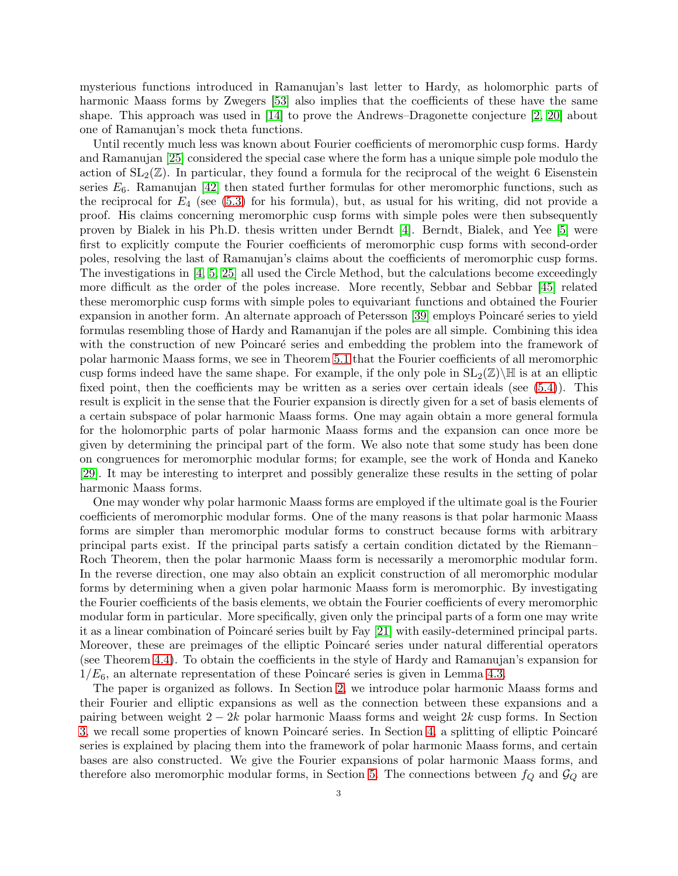mysterious functions introduced in Ramanujan's last letter to Hardy, as holomorphic parts of harmonic Maass forms by Zwegers [\[53\]](#page-18-5) also implies that the coefficients of these have the same shape. This approach was used in [\[14\]](#page-17-13) to prove the Andrews–Dragonette conjecture [\[2,](#page-16-2) [20\]](#page-17-14) about one of Ramanujan's mock theta functions.

Until recently much less was known about Fourier coefficients of meromorphic cusp forms. Hardy and Ramanujan [\[25\]](#page-17-15) considered the special case where the form has a unique simple pole modulo the action of  $SL_2(\mathbb{Z})$ . In particular, they found a formula for the reciprocal of the weight 6 Eisenstein series  $E_6$ . Ramanujan [\[42\]](#page-17-16) then stated further formulas for other meromorphic functions, such as the reciprocal for  $E_4$  (see [\(5.3\)](#page-11-0) for his formula), but, as usual for his writing, did not provide a proof. His claims concerning meromorphic cusp forms with simple poles were then subsequently proven by Bialek in his Ph.D. thesis written under Berndt [\[4\]](#page-16-3). Berndt, Bialek, and Yee [\[5\]](#page-16-4) were first to explicitly compute the Fourier coefficients of meromorphic cusp forms with second-order poles, resolving the last of Ramanujan's claims about the coefficients of meromorphic cusp forms. The investigations in [\[4,](#page-16-3) [5,](#page-16-4) [25\]](#page-17-15) all used the Circle Method, but the calculations become exceedingly more difficult as the order of the poles increase. More recently, Sebbar and Sebbar [\[45\]](#page-18-6) related these meromorphic cusp forms with simple poles to equivariant functions and obtained the Fourier expansion in another form. An alternate approach of Petersson [\[39\]](#page-17-17) employs Poincaré series to yield formulas resembling those of Hardy and Ramanujan if the poles are all simple. Combining this idea with the construction of new Poincaré series and embedding the problem into the framework of polar harmonic Maass forms, we see in Theorem [5.1](#page-11-1) that the Fourier coefficients of all meromorphic cusp forms indeed have the same shape. For example, if the only pole in  $SL_2(\mathbb{Z})\backslash\mathbb{H}$  is at an elliptic fixed point, then the coefficients may be written as a series over certain ideals (see [\(5.4\)](#page-11-2)). This result is explicit in the sense that the Fourier expansion is directly given for a set of basis elements of a certain subspace of polar harmonic Maass forms. One may again obtain a more general formula for the holomorphic parts of polar harmonic Maass forms and the expansion can once more be given by determining the principal part of the form. We also note that some study has been done on congruences for meromorphic modular forms; for example, see the work of Honda and Kaneko [\[29\]](#page-17-18). It may be interesting to interpret and possibly generalize these results in the setting of polar harmonic Maass forms.

One may wonder why polar harmonic Maass forms are employed if the ultimate goal is the Fourier coefficients of meromorphic modular forms. One of the many reasons is that polar harmonic Maass forms are simpler than meromorphic modular forms to construct because forms with arbitrary principal parts exist. If the principal parts satisfy a certain condition dictated by the Riemann– Roch Theorem, then the polar harmonic Maass form is necessarily a meromorphic modular form. In the reverse direction, one may also obtain an explicit construction of all meromorphic modular forms by determining when a given polar harmonic Maass form is meromorphic. By investigating the Fourier coefficients of the basis elements, we obtain the Fourier coefficients of every meromorphic modular form in particular. More specifically, given only the principal parts of a form one may write it as a linear combination of Poincaré series built by Fay [\[21\]](#page-17-19) with easily-determined principal parts. Moreover, these are preimages of the elliptic Poincaré series under natural differential operators (see Theorem [4.4\)](#page-8-0). To obtain the coefficients in the style of Hardy and Ramanujan's expansion for  $1/E_6$ , an alternate representation of these Poincaré series is given in Lemma [4.3.](#page-8-1)

The paper is organized as follows. In Section [2,](#page-3-0) we introduce polar harmonic Maass forms and their Fourier and elliptic expansions as well as the connection between these expansions and a pairing between weight  $2 - 2k$  polar harmonic Maass forms and weight  $2k$  cusp forms. In Section [3,](#page-6-1) we recall some properties of known Poincaré series. In Section [4,](#page-7-0) a splitting of elliptic Poincaré series is explained by placing them into the framework of polar harmonic Maass forms, and certain bases are also constructed. We give the Fourier expansions of polar harmonic Maass forms, and therefore also meromorphic modular forms, in Section [5.](#page-10-2) The connections between  $f_Q$  and  $\mathcal{G}_Q$  are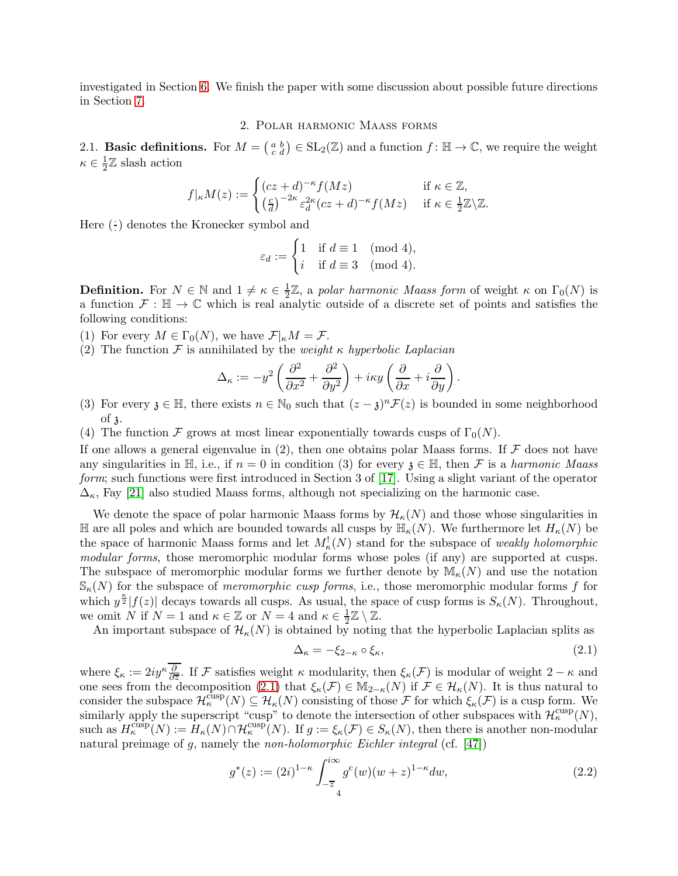<span id="page-3-0"></span>investigated in Section [6.](#page-12-0) We finish the paper with some discussion about possible future directions in Section [7.](#page-16-5)

#### 2. Polar harmonic Maass forms

2.1. **Basic definitions.** For  $M = \begin{pmatrix} a & b \\ c & d \end{pmatrix} \in SL_2(\mathbb{Z})$  and a function  $f : \mathbb{H} \to \mathbb{C}$ , we require the weight  $\kappa \in \frac{1}{2}$  $\frac{1}{2}\mathbb{Z}$  slash action

$$
f|_{\kappa}M(z) := \begin{cases} (cz+d)^{-\kappa} f(Mz) & \text{if } \kappa \in \mathbb{Z}, \\ \left(\frac{c}{d}\right)^{-2\kappa} \varepsilon_d^{2\kappa} (cz+d)^{-\kappa} f(Mz) & \text{if } \kappa \in \frac{1}{2}\mathbb{Z} \backslash \mathbb{Z}. \end{cases}
$$

Here  $(\cdot)$  denotes the Kronecker symbol and

$$
\varepsilon_d := \begin{cases} 1 & \text{if } d \equiv 1 \pmod{4}, \\ i & \text{if } d \equiv 3 \pmod{4}. \end{cases}
$$

**Definition.** For  $N \in \mathbb{N}$  and  $1 \neq \kappa \in \frac{1}{2}$  $\frac{1}{2}\mathbb{Z}$ , a polar harmonic Maass form of weight  $\kappa$  on  $\Gamma_0(N)$  is a function  $\mathcal{F} : \mathbb{H} \to \mathbb{C}$  which is real analytic outside of a discrete set of points and satisfies the following conditions:

(1) For every  $M \in \Gamma_0(N)$ , we have  $\mathcal{F}|_{\kappa}M = \mathcal{F}$ .

(2) The function  $\mathcal F$  is annihilated by the *weight*  $\kappa$  hyperbolic Laplacian

$$
\Delta_{\kappa} := -y^2 \left( \frac{\partial^2}{\partial x^2} + \frac{\partial^2}{\partial y^2} \right) + i\kappa y \left( \frac{\partial}{\partial x} + i \frac{\partial}{\partial y} \right).
$$

- (3) For every  $\mathfrak{z} \in \mathbb{H}$ , there exists  $n \in \mathbb{N}_0$  such that  $(z \mathfrak{z})^n \mathcal{F}(z)$  is bounded in some neighborhood of  $\lambda$ .
- (4) The function F grows at most linear exponentially towards cusps of  $\Gamma_0(N)$ .

If one allows a general eigenvalue in  $(2)$ , then one obtains polar Maass forms. If  $\mathcal F$  does not have any singularities in  $\mathbb{H}$ , i.e., if  $n = 0$  in condition (3) for every  $\mathfrak{z} \in \mathbb{H}$ , then F is a harmonic Maass form; such functions were first introduced in Section 3 of [\[17\]](#page-17-20). Using a slight variant of the operator  $\Delta_{\kappa}$ , Fay [\[21\]](#page-17-19) also studied Maass forms, although not specializing on the harmonic case.

We denote the space of polar harmonic Maass forms by  $\mathcal{H}_{\kappa}(N)$  and those whose singularities in H are all poles and which are bounded towards all cusps by  $\mathbb{H}_{\kappa}(N)$ . We furthermore let  $H_{\kappa}(N)$  be the space of harmonic Maass forms and let  $M^!_{\kappa}(N)$  stand for the subspace of weakly holomorphic modular forms, those meromorphic modular forms whose poles (if any) are supported at cusps. The subspace of meromorphic modular forms we further denote by  $\mathbb{M}_{\kappa}(N)$  and use the notation  $\mathcal{S}_{\kappa}(N)$  for the subspace of *meromorphic cusp forms*, i.e., those meromorphic modular forms f for which  $y^{\frac{\kappa}{2}}[f(z)]$  decays towards all cusps. As usual, the space of cusp forms is  $S_{\kappa}(N)$ . Throughout, we omit N if  $N = 1$  and  $\kappa \in \mathbb{Z}$  or  $N = 4$  and  $\kappa \in \frac{1}{2}$  $\frac{1}{2}\mathbb{Z}\setminus\mathbb{Z}$ .

An important subspace of  $\mathcal{H}_{\kappa}(N)$  is obtained by noting that the hyperbolic Laplacian splits as

<span id="page-3-1"></span>
$$
\Delta_{\kappa} = -\xi_{2-\kappa} \circ \xi_{\kappa},\tag{2.1}
$$

where  $\xi_{\kappa} := 2iy^{\kappa} \frac{\partial}{\partial \overline{z}}$ . If F satisfies weight  $\kappa$  modularity, then  $\xi_{\kappa}(\mathcal{F})$  is modular of weight  $2 - \kappa$  and one sees from the decomposition [\(2.1\)](#page-3-1) that  $\xi_{\kappa}(\mathcal{F}) \in M_{2-\kappa}(N)$  if  $\mathcal{F} \in \mathcal{H}_{\kappa}(N)$ . It is thus natural to consider the subspace  $\mathcal{H}_{\kappa}^{cusp}(N) \subseteq \mathcal{H}_{\kappa}(N)$  consisting of those F for which  $\xi_{\kappa}(\mathcal{F})$  is a cusp form. We similarly apply the superscript "cusp" to denote the intersection of other subspaces with  $\mathcal{H}_{\kappa}^{\text{cusp}}(N)$ , such as  $H_{\kappa}^{\text{cusp}}(N) := H_{\kappa}(N) \cap H_{\kappa}^{\text{cusp}}(N)$ . If  $g := \xi_{\kappa}(\mathcal{F}) \in S_{\kappa}(N)$ , then there is another non-modular natural preimage of  $g$ , namely the *non-holomorphic Eichler integral* (cf.  $[47]$ )

<span id="page-3-2"></span>
$$
g^*(z) := (2i)^{1-\kappa} \int_{-\overline{z}}^{i\infty} g^c(w)(w+z)^{1-\kappa} dw,
$$
\n(2.2)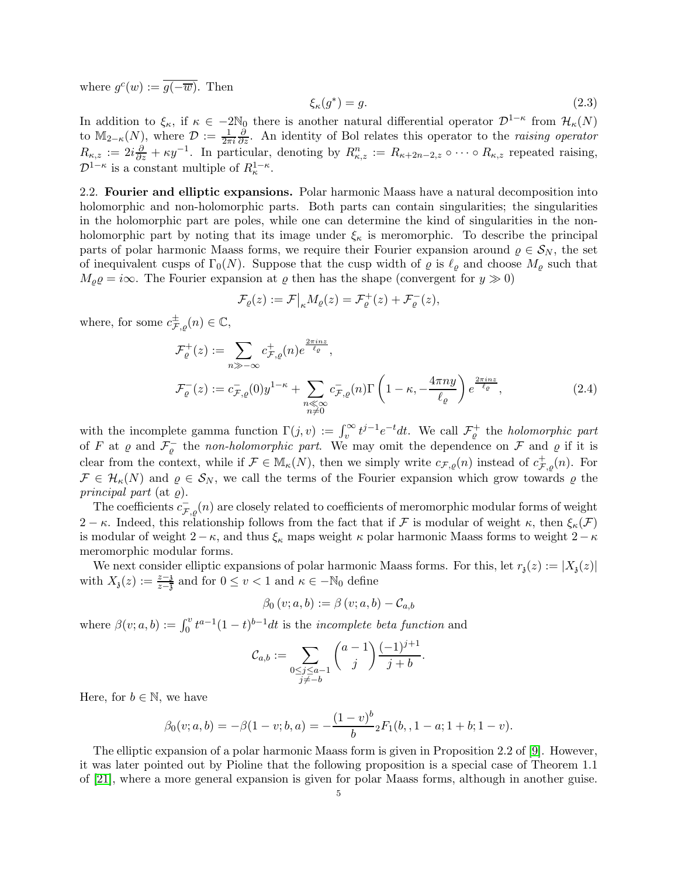where  $g^c(w) := \overline{g(-\overline{w})}$ . Then

<span id="page-4-0"></span>
$$
\xi_{\kappa}(g^*) = g. \tag{2.3}
$$

In addition to  $\xi_{\kappa}$ , if  $\kappa \in -2\mathbb{N}_0$  there is another natural differential operator  $\mathcal{D}^{1-\kappa}$  from  $\mathcal{H}_{\kappa}(N)$ to  $\mathbb{M}_{2-\kappa}(N)$ , where  $\mathcal{D} := \frac{1}{2\pi i}$  $\frac{\partial}{\partial z}$ . An identity of Bol relates this operator to the raising operator  $R_{\kappa,z} := 2i\frac{\partial}{\partial z} + \kappa y^{-1}$ . In particular, denoting by  $R_{\kappa,z}^n := R_{\kappa+2n-2,z} \circ \cdots \circ R_{\kappa,z}$  repeated raising,  $\mathcal{D}^{1-\kappa}$  is a constant multiple of  $R_{\kappa}^{1-\kappa}$ .

2.2. Fourier and elliptic expansions. Polar harmonic Maass have a natural decomposition into holomorphic and non-holomorphic parts. Both parts can contain singularities; the singularities in the holomorphic part are poles, while one can determine the kind of singularities in the nonholomorphic part by noting that its image under  $\xi_{\kappa}$  is meromorphic. To describe the principal parts of polar harmonic Maass forms, we require their Fourier expansion around  $\varrho \in S_N$ , the set of inequivalent cusps of  $\Gamma_0(N)$ . Suppose that the cusp width of  $\varrho$  is  $\ell_\rho$  and choose  $M_\rho$  such that  $M_{\rho}\varrho = i\infty$ . The Fourier expansion at  $\varrho$  then has the shape (convergent for  $y \gg 0$ )

<span id="page-4-1"></span>
$$
\mathcal{F}_{\varrho}(z) := \mathcal{F}\big|_{\kappa} M_{\varrho}(z) = \mathcal{F}_{\varrho}^{+}(z) + \mathcal{F}_{\varrho}^{-}(z),
$$

where, for some  $c_{\mathcal{F},\varrho}^{\pm}(n) \in \mathbb{C}$ ,

$$
\mathcal{F}_{\varrho}^{+}(z) := \sum_{n \gg -\infty} c_{\mathcal{F},\varrho}^{+}(n) e^{\frac{2\pi i nz}{\ell_{\varrho}}},
$$
\n
$$
\mathcal{F}_{\varrho}^{-}(z) := c_{\mathcal{F},\varrho}^{-}(0) y^{1-\kappa} + \sum_{\substack{n \ll \infty \\ n \neq 0}} c_{\mathcal{F},\varrho}^{-}(n) \Gamma\left(1 - \kappa, -\frac{4\pi n y}{\ell_{\varrho}}\right) e^{\frac{2\pi i nz}{\ell_{\varrho}}},
$$
\n(2.4)

with the incomplete gamma function  $\Gamma(j, v) := \int_v^{\infty} t^{j-1} e^{-t} dt$ . We call  $\mathcal{F}_{\varrho}^+$  the *holomorphic part* of F at  $\varrho$  and  $\mathcal{F}_{\varrho}^-$  the non-holomorphic part. We may omit the dependence on F and  $\varrho$  if it is clear from the context, while if  $\mathcal{F} \in M_{\kappa}(N)$ , then we simply write  $c_{\mathcal{F},\varrho}(n)$  instead of  $c_{\mathcal{F},\varrho}^+(n)$ . For  $\mathcal{F} \in \mathcal{H}_{\kappa}(N)$  and  $\varrho \in \mathcal{S}_N$ , we call the terms of the Fourier expansion which grow towards  $\varrho$  the principal part (at  $\varrho$ ).

The coefficients  $c_{\mathcal{F},g}^-(n)$  are closely related to coefficients of meromorphic modular forms of weight 2 − κ. Indeed, this relationship follows from the fact that if F is modular of weight  $\kappa$ , then  $\xi_{\kappa}(\mathcal{F})$ is modular of weight  $2-\kappa$ , and thus  $\xi_{\kappa}$  maps weight  $\kappa$  polar harmonic Maass forms to weight  $2-\kappa$ meromorphic modular forms.

We next consider elliptic expansions of polar harmonic Maass forms. For this, let  $r_3(z) := |X_3(z)|$ with  $X_3(z) := \frac{z-3}{z-3}$  and for  $0 \le v < 1$  and  $\kappa \in -\mathbb{N}_0$  define

$$
\beta_0(v;a,b) := \beta(v;a,b) - C_{a,b}
$$

where  $\beta(v; a, b) := \int_0^v t^{a-1} (1-t)^{b-1} dt$  is the *incomplete beta function* and

$$
\mathcal{C}_{a,b} := \sum_{\substack{0 \le j \le a-1 \\ j \ne -b}} \binom{a-1}{j} \frac{(-1)^{j+1}}{j+b}.
$$

Here, for  $b \in \mathbb{N}$ , we have

$$
\beta_0(v;a,b) = -\beta(1-v;b,a) = -\frac{(1-v)^b}{b} {}_2F_1(b,, 1-a; 1+b; 1-v).
$$

The elliptic expansion of a polar harmonic Maass form is given in Proposition 2.2 of [\[9\]](#page-16-6). However, it was later pointed out by Pioline that the following proposition is a special case of Theorem 1.1 of [\[21\]](#page-17-19), where a more general expansion is given for polar Maass forms, although in another guise.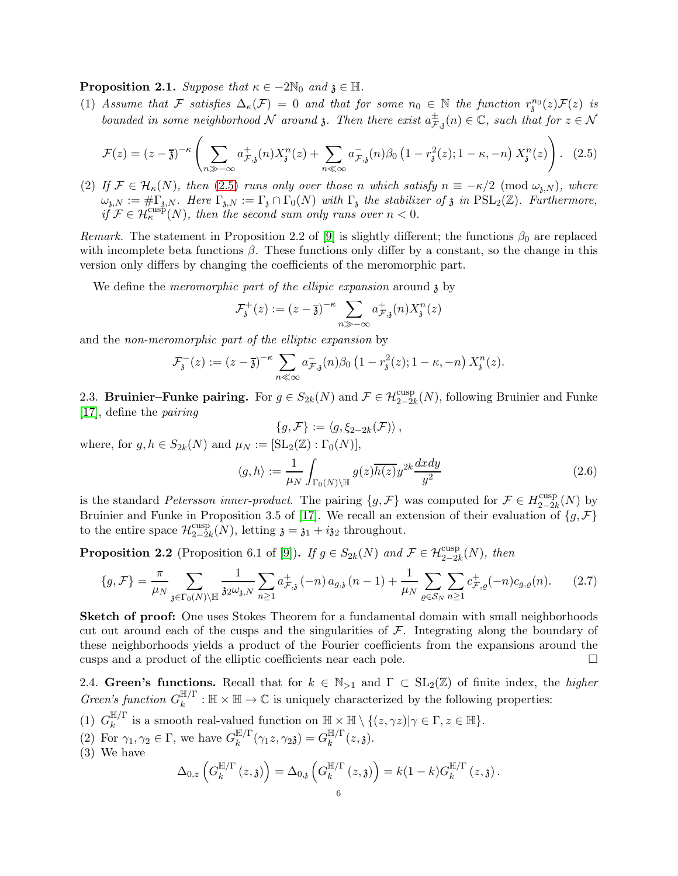**Proposition 2.1.** Suppose that  $\kappa \in -2\mathbb{N}_0$  and  $\mathfrak{z} \in \mathbb{H}$ .

(1) Assume that F satisfies  $\Delta_{\kappa}(\mathcal{F}) = 0$  and that for some  $n_0 \in \mathbb{N}$  the function  $r_{\mathfrak{z}}^{n_0}(z)\mathcal{F}(z)$  is bounded in some neighborhood N around 3. Then there exist  $a_{\mathcal{F},\mathfrak{z}}^{\pm}(n) \in \mathbb{C}$ , such that for  $z \in \mathcal{N}$ 

<span id="page-5-0"></span>
$$
\mathcal{F}(z) = (z - \overline{\mathfrak{z}})^{-\kappa} \left( \sum_{n \gg -\infty} a_{\mathcal{F},\mathfrak{z}}^+(n) X_{\mathfrak{z}}^n(z) + \sum_{n \ll \infty} a_{\mathcal{F},\mathfrak{z}}^-(n) \beta_0 \left( 1 - r_{\mathfrak{z}}^2(z); 1 - \kappa, -n \right) X_{\mathfrak{z}}^n(z) \right). \tag{2.5}
$$

(2) If  $\mathcal{F} \in \mathcal{H}_{\kappa}(N)$ , then [\(2.5\)](#page-5-0) runs only over those n which satisfy  $n \equiv -\kappa/2 \pmod{\omega_{\mathfrak{z},N}}$ , where  $\omega_{\mathfrak{z},N} := \# \Gamma_{\mathfrak{z},N}$ . Here  $\Gamma_{\mathfrak{z},N} := \Gamma_{\mathfrak{z}} \cap \Gamma_0(N)$  with  $\Gamma_{\mathfrak{z}}$  the stabilizer of  $\mathfrak{z}$  in  $PSL_2(\mathbb{Z})$ . Furthermore,  $i\ddot{f} \mathcal{F} \in \mathcal{H}_{\kappa}^{\text{cusp}}(N)$ , then the second sum only runs over  $n < 0$ .

Remark. The statement in Proposition 2.2 of [\[9\]](#page-16-6) is slightly different; the functions  $\beta_0$  are replaced with incomplete beta functions  $\beta$ . These functions only differ by a constant, so the change in this version only differs by changing the coefficients of the meromorphic part.

We define the *meromorphic part of the ellipic expansion* around  $\chi$  by

$$
\mathcal{F}_{\mathfrak{z}}^{+}(z) := (z - \overline{\mathfrak{z}})^{-\kappa} \sum_{n \gg -\infty} a_{\mathcal{F},\mathfrak{z}}^{+}(n) X_{\mathfrak{z}}^{n}(z)
$$

and the non-meromorphic part of the elliptic expansion by

$$
\mathcal{F}_{\mathfrak{z}}^{-}(z) := (z - \overline{\mathfrak{z}})^{-\kappa} \sum_{n \ll \infty} a_{\mathcal{F},\mathfrak{z}}^{-}(n) \beta_{0} \left(1 - r_{\mathfrak{z}}^{2}(z); 1 - \kappa, -n\right) X_{\mathfrak{z}}^{n}(z).
$$

2.3. Bruinier–Funke pairing. For  $g \in S_{2k}(N)$  and  $\mathcal{F} \in \mathcal{H}^{\text{cusp}}_{2-2k}(N)$ , following Bruinier and Funke [\[17\]](#page-17-20), define the pairing

$$
\{g,\mathcal{F}\}:=\langle g,\xi_{2-2k}(\mathcal{F})\rangle\,,
$$

where, for  $g, h \in S_{2k}(N)$  and  $\mu_N := [\text{SL}_2(\mathbb{Z}) : \Gamma_0(N)],$ 

<span id="page-5-1"></span>
$$
\langle g, h \rangle := \frac{1}{\mu_N} \int_{\Gamma_0(N) \backslash \mathbb{H}} g(z) \overline{h(z)} y^{2k} \frac{dxdy}{y^2}
$$
 (2.6)

is the standard Petersson inner-product. The pairing  $\{g, \mathcal{F}\}\$  was computed for  $\mathcal{F} \in H_{2-2}^{\text{cusp}}$  $\frac{\text{cusp}}{2-2k}(N)$  by Bruinier and Funke in Proposition 3.5 of [\[17\]](#page-17-20). We recall an extension of their evaluation of  $\{g, \mathcal{F}\}\$ to the entire space  $\mathcal{H}_{2-2i}^{\text{cusp}}$  $_{2-2k}^{\text{cusp}}(N)$ , letting  $\mathfrak{z} = \mathfrak{z}_1 + i\mathfrak{z}_2$  throughout.

<span id="page-5-2"></span>**Proposition 2.2** (Proposition 6.1 of [\[9\]](#page-16-6)). If  $g \in S_{2k}(N)$  and  $\mathcal{F} \in \mathcal{H}^{\text{cusp}}_{2-2k}(N)$ , then

<span id="page-5-3"></span>
$$
\{g, \mathcal{F}\} = \frac{\pi}{\mu_N} \sum_{\mathfrak{z} \in \Gamma_0(N) \backslash \mathbb{H}} \frac{1}{\mathfrak{z} \omega_{\mathfrak{z},N}} \sum_{n \ge 1} a_{\mathcal{F},\mathfrak{z}}^+ (-n) a_{g,\mathfrak{z}}(n-1) + \frac{1}{\mu_N} \sum_{\varrho \in \mathcal{S}_N} \sum_{n \ge 1} c_{\mathcal{F},\varrho}^+ (-n) c_{g,\varrho}(n). \tag{2.7}
$$

Sketch of proof: One uses Stokes Theorem for a fundamental domain with small neighborhoods cut out around each of the cusps and the singularities of  $\mathcal{F}$ . Integrating along the boundary of these neighborhoods yields a product of the Fourier coefficients from the expansions around the cusps and a product of the elliptic coefficients near each pole.

2.4. Green's functions. Recall that for  $k \in \mathbb{N}_{>1}$  and  $\Gamma \subset SL_2(\mathbb{Z})$  of finite index, the *higher* Green's function  $G_k^{\mathbb{H}/\Gamma}$  $\mathbb{R}^{n/1} : \mathbb{H} \times \mathbb{H} \to \mathbb{C}$  is uniquely characterized by the following properties:

- $(1)$   $G_k^{\mathbb{H}/\Gamma}$  $\mathbb{H}^{n}$  is a smooth real-valued function on  $\mathbb{H} \times \mathbb{H} \setminus \{(z, \gamma z) | \gamma \in \Gamma, z \in \mathbb{H} \}.$
- (2) For  $\gamma_1, \gamma_2 \in \Gamma$ , we have  $G_k^{\mathbb{H}/\Gamma}$  $\frac{\mathbb{H}/\Gamma}{k}(\gamma_1 z,\gamma_2\mathfrak{z})=G_k^{\mathbb{H}/\Gamma}$  $\binom{m}{k} (z, \mathfrak{z}).$
- (3) We have

$$
\Delta_{0,z}\left(G_k^{\mathbb{H}/\Gamma}\left(z,\mathfrak{z}\right)\right)=\Delta_{0,\mathfrak{z}}\left(G_k^{\mathbb{H}/\Gamma}\left(z,\mathfrak{z}\right)\right)=k(1-k)G_k^{\mathbb{H}/\Gamma}\left(z,\mathfrak{z}\right).
$$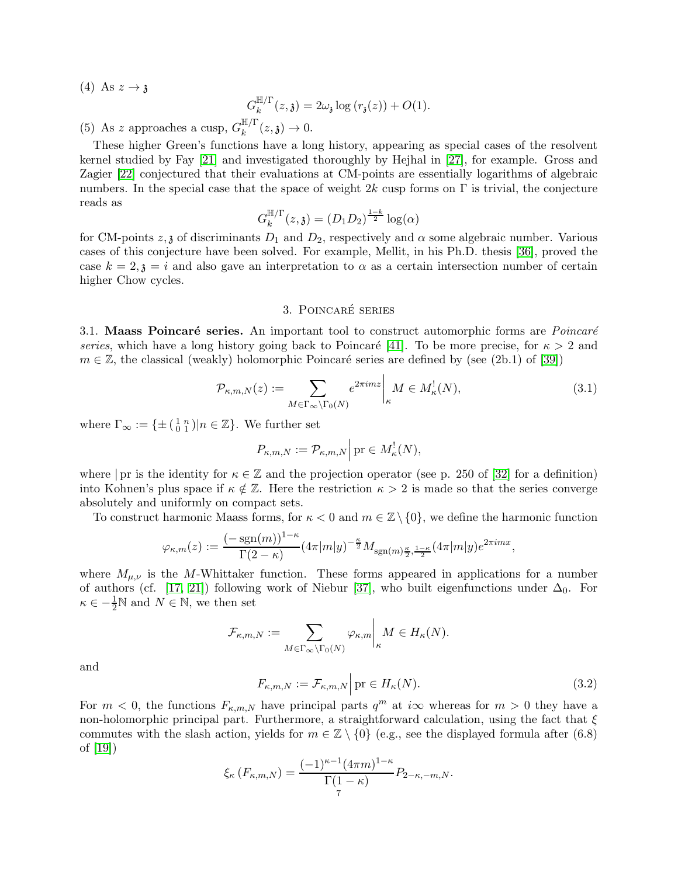(4) As  $z \rightarrow \mathfrak{z}$ 

$$
G_k^{\mathbb{H}/\Gamma}(z,\mathfrak{z}) = 2\omega_{\mathfrak{z}} \log \left( r_{\mathfrak{z}}(z) \right) + O(1).
$$

(5) As z approaches a cusp,  $G_k^{\mathbb{H}/\Gamma}$  $\binom{m}{k}^{\mathsf{I}}(z,\mathfrak{z})\to 0.$ 

These higher Green's functions have a long history, appearing as special cases of the resolvent kernel studied by Fay [\[21\]](#page-17-19) and investigated thoroughly by Hejhal in [\[27\]](#page-17-21), for example. Gross and Zagier [\[22\]](#page-17-22) conjectured that their evaluations at CM-points are essentially logarithms of algebraic numbers. In the special case that the space of weight 2k cusp forms on  $\Gamma$  is trivial, the conjecture reads as

$$
G_k^{\mathbb{H}/\Gamma}(z,\mathfrak{z}) = (D_1D_2)^{\frac{1-k}{2}} \log(\alpha)
$$

for CM-points  $z, \zeta$  of discriminants  $D_1$  and  $D_2$ , respectively and  $\alpha$  some algebraic number. Various cases of this conjecture have been solved. For example, Mellit, in his Ph.D. thesis [\[36\]](#page-17-23), proved the case  $k = 2, \mathfrak{z} = i$  and also gave an interpretation to  $\alpha$  as a certain intersection number of certain higher Chow cycles.

## 3. POINCARÉ SERIES

<span id="page-6-1"></span>3.1. Maass Poincaré series. An important tool to construct automorphic forms are *Poincaré* series, which have a long history going back to Poincaré [\[41\]](#page-17-24). To be more precise, for  $\kappa > 2$  and  $m \in \mathbb{Z}$ , the classical (weakly) holomorphic Poincaré series are defined by (see (2b.1) of [\[39\]](#page-17-17))

<span id="page-6-2"></span>
$$
\mathcal{P}_{\kappa,m,N}(z) := \sum_{M \in \Gamma_{\infty} \backslash \Gamma_0(N)} e^{2\pi i m z} \bigg|_{\kappa} M \in M_{\kappa}^!(N),\tag{3.1}
$$

where  $\Gamma_{\infty} := \{ \pm \left( \begin{smallmatrix} 1 & n \\ 0 & 1 \end{smallmatrix} \right) | n \in \mathbb{Z} \}.$  We further set

$$
P_{\kappa,m,N} := \mathcal{P}_{\kappa,m,N} \Big| \operatorname{pr} \in M_{\kappa}^!(N),
$$

where | pr is the identity for  $\kappa \in \mathbb{Z}$  and the projection operator (see p. 250 of [\[32\]](#page-17-25) for a definition) into Kohnen's plus space if  $\kappa \notin \mathbb{Z}$ . Here the restriction  $\kappa > 2$  is made so that the series converge absolutely and uniformly on compact sets.

To construct harmonic Maass forms, for  $\kappa < 0$  and  $m \in \mathbb{Z} \setminus \{0\}$ , we define the harmonic function

$$
\varphi_{\kappa,m}(z) := \frac{(-\operatorname{sgn}(m))^{1-\kappa}}{\Gamma(2-\kappa)} (4\pi|m|y)^{-\frac{\kappa}{2}} M_{\operatorname{sgn}(m)\frac{\kappa}{2},\frac{1-\kappa}{2}} (4\pi|m|y)e^{2\pi imx},
$$

where  $M_{\mu,\nu}$  is the M-Whittaker function. These forms appeared in applications for a number of authors (cf. [\[17,](#page-17-20) [21\]](#page-17-19)) following work of Niebur [\[37\]](#page-17-26), who built eigenfunctions under  $\Delta_0$ . For  $\kappa \in -\frac{1}{2}\mathbb{N}$  and  $N \in \mathbb{N}$ , we then set

$$
\mathcal{F}_{\kappa,m,N} := \sum_{M \in \Gamma_{\infty} \backslash \Gamma_0(N)} \varphi_{\kappa,m} \bigg|_{\kappa} M \in H_{\kappa}(N).
$$

and

<span id="page-6-0"></span>
$$
F_{\kappa,m,N} := \mathcal{F}_{\kappa,m,N} \Big| \operatorname{pr} \in H_{\kappa}(N). \tag{3.2}
$$

For  $m < 0$ , the functions  $F_{\kappa,m,N}$  have principal parts  $q^m$  at  $i\infty$  whereas for  $m > 0$  they have a non-holomorphic principal part. Furthermore, a straightforward calculation, using the fact that  $\xi$ commutes with the slash action, yields for  $m \in \mathbb{Z} \setminus \{0\}$  (e.g., see the displayed formula after (6.8) of [\[19\]](#page-17-27))

$$
\xi_{\kappa}(F_{\kappa,m,N}) = \frac{(-1)^{\kappa-1}(4\pi m)^{1-\kappa}}{\Gamma(1-\kappa)} P_{2-\kappa,-m,N}.
$$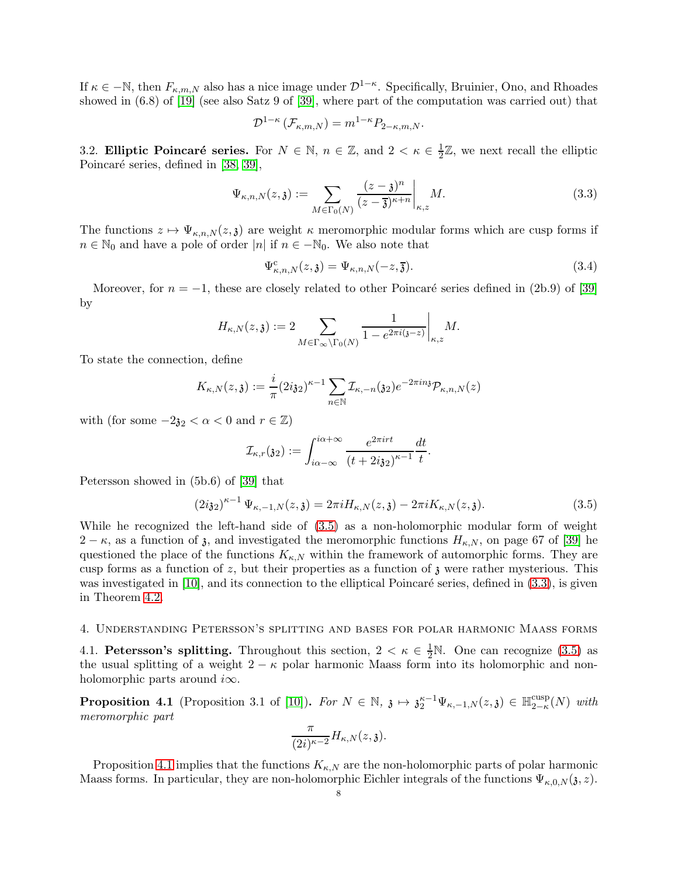If  $\kappa \in \mathbb{N}$ , then  $F_{\kappa,m,N}$  also has a nice image under  $\mathcal{D}^{1-\kappa}$ . Specifically, Bruinier, Ono, and Rhoades showed in (6.8) of [\[19\]](#page-17-27) (see also Satz 9 of [\[39\]](#page-17-17), where part of the computation was carried out) that

$$
\mathcal{D}^{1-\kappa}(\mathcal{F}_{\kappa,m,N}) = m^{1-\kappa} P_{2-\kappa,m,N}.
$$

3.2. Elliptic Poincaré series. For  $N \in \mathbb{N}$ ,  $n \in \mathbb{Z}$ , and  $2 < \kappa \in \frac{1}{2}$  $\frac{1}{2}\mathbb{Z}$ , we next recall the elliptic Poincaré series, defined in [\[38,](#page-17-2) [39\]](#page-17-17),

<span id="page-7-2"></span>
$$
\Psi_{\kappa,n,N}(z,\mathfrak{z}) := \sum_{M \in \Gamma_0(N)} \frac{(z-\mathfrak{z})^n}{(z-\overline{\mathfrak{z}})^{\kappa+n}} \bigg|_{\kappa,z} M. \tag{3.3}
$$

The functions  $z \mapsto \Psi_{\kappa,n,N}(z,\mathfrak{z})$  are weight  $\kappa$  meromorphic modular forms which are cusp forms if  $n \in \mathbb{N}_0$  and have a pole of order |n| if  $n \in -\mathbb{N}_0$ . We also note that

<span id="page-7-4"></span>
$$
\Psi_{\kappa,n,N}^{\rm c}(z,\mathfrak{z}) = \Psi_{\kappa,n,N}(-z,\overline{\mathfrak{z}}). \tag{3.4}
$$

Moreover, for  $n = -1$ , these are closely related to other Poincaré series defined in (2b.9) of [\[39\]](#page-17-17) by

$$
H_{\kappa,N}(z,\mathfrak{z}):=2\sum_{M\in\Gamma_{\infty}\backslash\Gamma_{0}(N)}\frac{1}{1-e^{2\pi i(\mathfrak{z}-z)}}\bigg|_{\kappa,z}M.
$$

To state the connection, define

$$
K_{\kappa,N}(z,\mathfrak{z}):=\frac{i}{\pi}(2i\mathfrak{z}_2)^{\kappa-1}\sum_{n\in\mathbb{N}}\mathcal{I}_{\kappa,-n}(\mathfrak{z}_2)e^{-2\pi in\mathfrak{z}}\mathcal{P}_{\kappa,n,N}(z)
$$

with (for some  $-2\mathfrak{z}_2 < \alpha < 0$  and  $r \in \mathbb{Z}$ )

$$
\mathcal{I}_{\kappa,r}(\mathfrak{z}_2) := \int_{i\alpha-\infty}^{i\alpha+\infty} \frac{e^{2\pi i r t}}{(t+2i\mathfrak{z}_2)^{\kappa-1}} \frac{dt}{t}.
$$

Petersson showed in (5b.6) of [\[39\]](#page-17-17) that

<span id="page-7-1"></span>
$$
(2i32)^{\kappa-1} \Psi_{\kappa,-1,N}(z,\mathfrak{z}) = 2\pi i H_{\kappa,N}(z,\mathfrak{z}) - 2\pi i K_{\kappa,N}(z,\mathfrak{z}). \tag{3.5}
$$

While he recognized the left-hand side of [\(3.5\)](#page-7-1) as a non-holomorphic modular form of weight  $2 - \kappa$ , as a function of  $\mathfrak{z}$ , and investigated the meromorphic functions  $H_{\kappa,N}$ , on page 67 of [\[39\]](#page-17-17) he questioned the place of the functions  $K_{\kappa,N}$  within the framework of automorphic forms. They are cusp forms as a function of z, but their properties as a function of  $\beta$  were rather mysterious. This was investigated in  $[10]$ , and its connection to the elliptical Poincaré series, defined in  $(3.3)$ , is given in Theorem [4.2.](#page-8-2)

### <span id="page-7-0"></span>4. Understanding Petersson's splitting and bases for polar harmonic Maass forms

4.1. Petersson's splitting. Throughout this section,  $2 < \kappa \in \frac{1}{2}N$ . One can recognize [\(3.5\)](#page-7-1) as the usual splitting of a weight  $2 - \kappa$  polar harmonic Maass form into its holomorphic and nonholomorphic parts around  $i\infty$ .

<span id="page-7-3"></span>**Proposition 4.1** (Proposition 3.1 of [\[10\]](#page-17-28)). For  $N \in \mathbb{N}$ ,  $\mathfrak{z} \mapsto \mathfrak{z}_2^{\kappa-1} \Psi_{\kappa,-1,N}(z,\mathfrak{z}) \in \mathbb{H}_{2-\kappa}^{\text{cusp}}$  $_{2-\kappa}^{\rm cusp}(N)$  with meromorphic part

$$
\frac{\pi}{(2i)^{\kappa-2}}H_{\kappa,N}(z,\mathfrak{z}).
$$

Proposition [4.1](#page-7-3) implies that the functions  $K_{\kappa,N}$  are the non-holomorphic parts of polar harmonic Maass forms. In particular, they are non-holomorphic Eichler integrals of the functions  $\Psi_{\kappa,0,N}(\mathfrak{z},z)$ .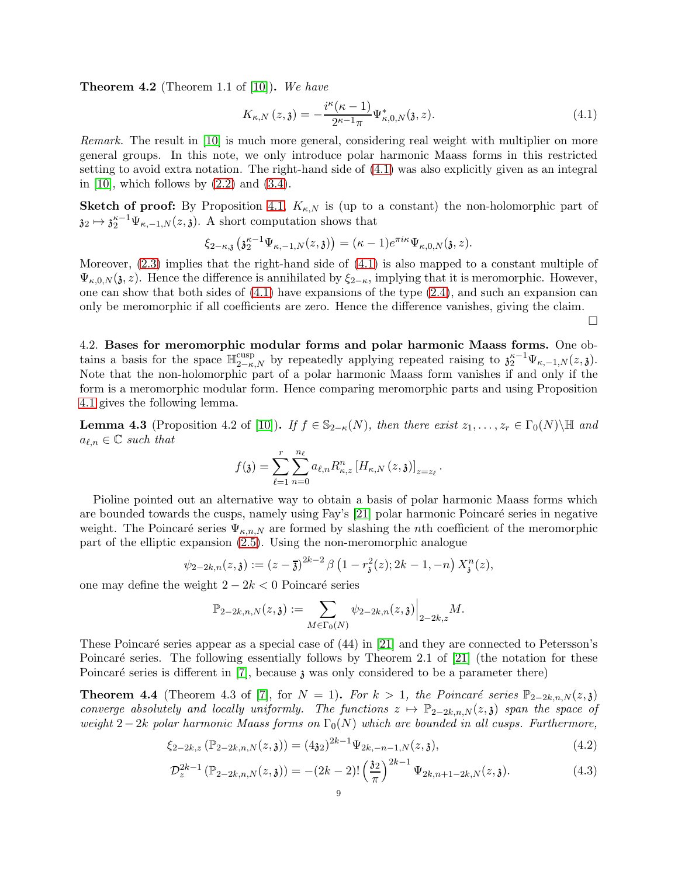<span id="page-8-2"></span>**Theorem 4.2** (Theorem 1.1 of [\[10\]](#page-17-28)). We have

<span id="page-8-3"></span>
$$
K_{\kappa,N}(z,\mathfrak{z}) = -\frac{i^{\kappa}(\kappa-1)}{2^{\kappa-1}\pi} \Psi_{\kappa,0,N}^*(\mathfrak{z},z). \tag{4.1}
$$

Remark. The result in [\[10\]](#page-17-28) is much more general, considering real weight with multiplier on more general groups. In this note, we only introduce polar harmonic Maass forms in this restricted setting to avoid extra notation. The right-hand side of [\(4.1\)](#page-8-3) was also explicitly given as an integral in  $[10]$ , which follows by  $(2.2)$  and  $(3.4)$ .

Sketch of proof: By Proposition [4.1,](#page-7-3)  $K_{\kappa,N}$  is (up to a constant) the non-holomorphic part of  $\mathfrak{z}_2 \mapsto \mathfrak{z}_2^{\kappa-1} \Psi_{\kappa,-1,N}(z,\mathfrak{z}).$  A short computation shows that

$$
\xi_{2-\kappa, \mathfrak{z}} \left( \mathfrak{z}_{2}^{\kappa-1} \Psi_{\kappa, -1, N}(z, \mathfrak{z}) \right) = (\kappa - 1) e^{\pi i \kappa} \Psi_{\kappa, 0, N}(\mathfrak{z}, z).
$$

Moreover, [\(2.3\)](#page-4-0) implies that the right-hand side of [\(4.1\)](#page-8-3) is also mapped to a constant multiple of  $\Psi_{\kappa,0,N}(\mathfrak{z},z)$ . Hence the difference is annihilated by  $\xi_{2-\kappa}$ , implying that it is meromorphic. However, one can show that both sides of [\(4.1\)](#page-8-3) have expansions of the type [\(2.4\)](#page-4-1), and such an expansion can only be meromorphic if all coefficients are zero. Hence the difference vanishes, giving the claim.

 $\Box$ 

4.2. Bases for meromorphic modular forms and polar harmonic Maass forms. One obtains a basis for the space  $\mathbb{H}_{2-\kappa,N}^{\text{cusp}}$  by repeatedly applying repeated raising to  $\mathfrak{z}_2^{\kappa-1}\Psi_{\kappa,-1,N}(z,\mathfrak{z})$ . Note that the non-holomorphic part of a polar harmonic Maass form vanishes if and only if the form is a meromorphic modular form. Hence comparing meromorphic parts and using Proposition [4.1](#page-7-3) gives the following lemma.

<span id="page-8-1"></span>**Lemma 4.3** (Proposition 4.2 of [\[10\]](#page-17-28)). If  $f \in \mathbb{S}_{2-\kappa}(N)$ , then there exist  $z_1, \ldots, z_r \in \Gamma_0(N) \setminus \mathbb{H}$  and  $a_{\ell,n} \in \mathbb{C}$  such that

$$
f(\mathfrak{z}) = \sum_{\ell=1}^{r} \sum_{n=0}^{n_{\ell}} a_{\ell,n} R_{\kappa,z}^{n} [H_{\kappa,N}(z,\mathfrak{z})]_{z=z_{\ell}}.
$$

Pioline pointed out an alternative way to obtain a basis of polar harmonic Maass forms which are bounded towards the cusps, namely using Fay's  $[21]$  polar harmonic Poincaré series in negative weight. The Poincaré series  $\Psi_{\kappa,n,N}$  are formed by slashing the nth coefficient of the meromorphic part of the elliptic expansion [\(2.5\)](#page-5-0). Using the non-meromorphic analogue

$$
\psi_{2-2k,n}(z,\mathfrak{z}) := (z-\overline{\mathfrak{z}})^{2k-2} \beta \left(1 - r_{\mathfrak{z}}^2(z); 2k-1, -n\right) X_{\mathfrak{z}}^n(z),
$$

one may define the weight  $2 - 2k < 0$  Poincaré series

<span id="page-8-5"></span><span id="page-8-4"></span>
$$
\mathbb{P}_{2-2k,n,N}(z,\mathfrak{z}):=\sum_{M\in\Gamma_{0}(N)}\psi_{2-2k,n}(z,\mathfrak{z})\Big|_{2-2k,z}M.
$$

These Poincaré series appear as a special case of  $(44)$  in [\[21\]](#page-17-19) and they are connected to Petersson's Poincaré series. The following essentially follows by Theorem 2.1 of  $[21]$  (the notation for these Poincaré series is different in [\[7\]](#page-16-7), because  $\lambda$  was only considered to be a parameter there)

<span id="page-8-0"></span>**Theorem 4.4** (Theorem 4.3 of [\[7\]](#page-16-7), for  $N = 1$ ). For  $k > 1$ , the Poincaré series  $\mathbb{P}_{2-2k,n,N}(z,\mathfrak{z})$ converge absolutely and locally uniformly. The functions  $z \mapsto \mathbb{P}_{2-2k,n,N}(z,\mathfrak{z})$  span the space of weight 2−2k polar harmonic Maass forms on  $\Gamma_0(N)$  which are bounded in all cusps. Furthermore,

$$
\xi_{2-2k,z}(\mathbb{P}_{2-2k,n,N}(z,\mathfrak{z})) = (4\mathfrak{z}_{2})^{2k-1}\Psi_{2k,-n-1,N}(z,\mathfrak{z}),\tag{4.2}
$$

$$
\mathcal{D}_z^{2k-1} \left( \mathbb{P}_{2-2k,n,N}(z,\mathfrak{z}) \right) = -(2k-2)! \left( \frac{32}{\pi} \right)^{2k-1} \Psi_{2k,n+1-2k,N}(z,\mathfrak{z}). \tag{4.3}
$$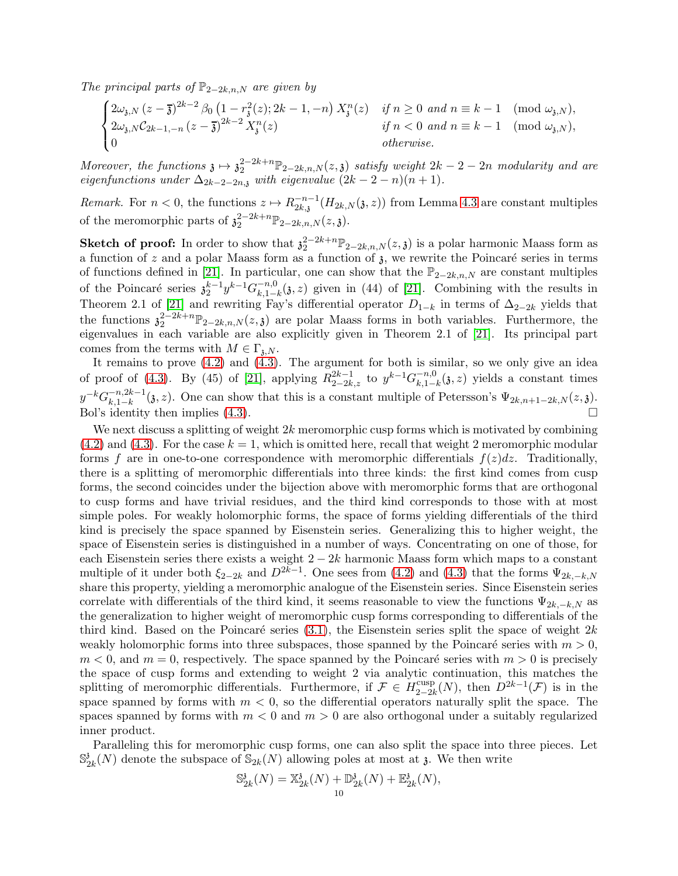The principal parts of  $\mathbb{P}_{2-2k,n,N}$  are given by

$$
\begin{cases} 2\omega_{\mathfrak{z},N}(z-\overline{\mathfrak{z}})^{2k-2} \beta_0 \left(1-r_{\mathfrak{z}}^2(z); 2k-1, -n\right) X_{\mathfrak{z}}^n(z) & \text{if } n \ge 0 \text{ and } n \equiv k-1 \pmod{\omega_{\mathfrak{z},N}},\\ 2\omega_{\mathfrak{z},N} C_{2k-1,-n}(z-\overline{\mathfrak{z}})^{2k-2} X_{\mathfrak{z}}^n(z) & \text{if } n < 0 \text{ and } n \equiv k-1 \pmod{\omega_{\mathfrak{z},N}},\\ 0 & \text{otherwise.} \end{cases}
$$

Moreover, the functions  $\mathfrak{z} \mapsto \mathfrak{z}_2^{2-2k+n} \mathbb{P}_{2-2k,n,N}(z,\mathfrak{z})$  satisfy weight  $2k-2-2n$  modularity and are eigenfunctions under  $\Delta_{2k-2-2n,3}$  with eigenvalue  $(2k-2-n)(n+1)$ .

*Remark.* For  $n < 0$ , the functions  $z \mapsto R_{2k,3}^{-n-1}$  $\zeta_{2k,3}^{-n-1}(H_{2k,N}(3,z))$  from Lemma [4.3](#page-8-1) are constant multiples of the meromorphic parts of  $\mathfrak{z}_2^{2-2k+n} \mathbb{P}_{2-2k,n,N}(z,\mathfrak{z})$ .

**Sketch of proof:** In order to show that  $\mathfrak{z}_2^{2-k+n} \mathbb{P}_{2-2k,n,N}(z,\mathfrak{z})$  is a polar harmonic Maass form as a function of z and a polar Maass form as a function of  $\lambda$ , we rewrite the Poincaré series in terms of functions defined in [\[21\]](#page-17-19). In particular, one can show that the  $\mathbb{P}_{2-2k,n,N}$  are constant multiples of the Poincaré series  $\mathfrak{z}_{2}^{k-1} y^{k-1} G_{k,1-k}^{-n,0}$  $\zeta_{k,1-k}^{n,0}(3,z)$  given in (44) of [\[21\]](#page-17-19). Combining with the results in Theorem 2.1 of [\[21\]](#page-17-19) and rewriting Fay's differential operator  $D_{1-k}$  in terms of  $\Delta_{2-2k}$  yields that the functions  $\mathfrak{z}_2^{2-2k+n} \mathbb{P}_{2-2k,n,N}(z,\mathfrak{z})$  are polar Maass forms in both variables. Furthermore, the eigenvalues in each variable are also explicitly given in Theorem 2.1 of [\[21\]](#page-17-19). Its principal part comes from the terms with  $M \in \Gamma_{3,N}$ .

It remains to prove [\(4.2\)](#page-8-4) and [\(4.3\)](#page-8-5). The argument for both is similar, so we only give an idea of proof of [\(4.3\)](#page-8-5). By (45) of [\[21\]](#page-17-19), applying  $R_{2-2k,z}^{2k-1}$  to  $y^{k-1}G_{k,1}^{-n,0}$  $\sum_{k,1-k}^{-n,0}(3, z)$  yields a constant times  $y^{-k}G_{k-1-k}^{-n,2k-1}$  $\zeta_{k,1-k}^{n,2k-1}(\mathfrak{z},z)$ . One can show that this is a constant multiple of Petersson's  $\Psi_{2k,n+1-2k,N}(z,\mathfrak{z})$ . Bol's identity then implies  $(4.3)$ .

We next discuss a splitting of weight  $2k$  meromorphic cusp forms which is motivated by combining  $(4.2)$  and  $(4.3)$ . For the case  $k = 1$ , which is omitted here, recall that weight 2 meromorphic modular forms f are in one-to-one correspondence with meromorphic differentials  $f(z)dz$ . Traditionally, there is a splitting of meromorphic differentials into three kinds: the first kind comes from cusp forms, the second coincides under the bijection above with meromorphic forms that are orthogonal to cusp forms and have trivial residues, and the third kind corresponds to those with at most simple poles. For weakly holomorphic forms, the space of forms yielding differentials of the third kind is precisely the space spanned by Eisenstein series. Generalizing this to higher weight, the space of Eisenstein series is distinguished in a number of ways. Concentrating on one of those, for each Eisenstein series there exists a weight  $2 - 2k$  harmonic Maass form which maps to a constant multiple of it under both  $\xi_{2-2k}$  and  $D^{2k-1}$ . One sees from [\(4.2\)](#page-8-4) and [\(4.3\)](#page-8-5) that the forms  $\Psi_{2k,-k,N}$ share this property, yielding a meromorphic analogue of the Eisenstein series. Since Eisenstein series correlate with differentials of the third kind, it seems reasonable to view the functions  $\Psi_{2k,-k,N}$  as the generalization to higher weight of meromorphic cusp forms corresponding to differentials of the third kind. Based on the Poincaré series  $(3.1)$ , the Eisenstein series split the space of weight  $2k$ weakly holomorphic forms into three subspaces, those spanned by the Poincaré series with  $m > 0$ ,  $m < 0$ , and  $m = 0$ , respectively. The space spanned by the Poincaré series with  $m > 0$  is precisely the space of cusp forms and extending to weight 2 via analytic continuation, this matches the splitting of meromorphic differentials. Furthermore, if  $\mathcal{F} \in H_{2-2l}^{\text{cusp}}$  $\frac{\text{cusp}}{2-2k}(N)$ , then  $D^{2k-1}(\mathcal{F})$  is in the space spanned by forms with  $m < 0$ , so the differential operators naturally split the space. The spaces spanned by forms with  $m < 0$  and  $m > 0$  are also orthogonal under a suitably regularized inner product.

Paralleling this for meromorphic cusp forms, one can also split the space into three pieces. Let S<sup>3</sup>  $\frac{3}{2k}(N)$  denote the subspace of  $\mathbb{S}_{2k}(N)$  allowing poles at most at 3. We then write

$$
\mathbb{S}_{2k}^{\mathfrak{z}}(N) = \mathbb{X}_{2k}^{\mathfrak{z}}(N) + \mathbb{D}_{2k}^{\mathfrak{z}}(N) + \mathbb{E}_{2k}^{\mathfrak{z}}(N),
$$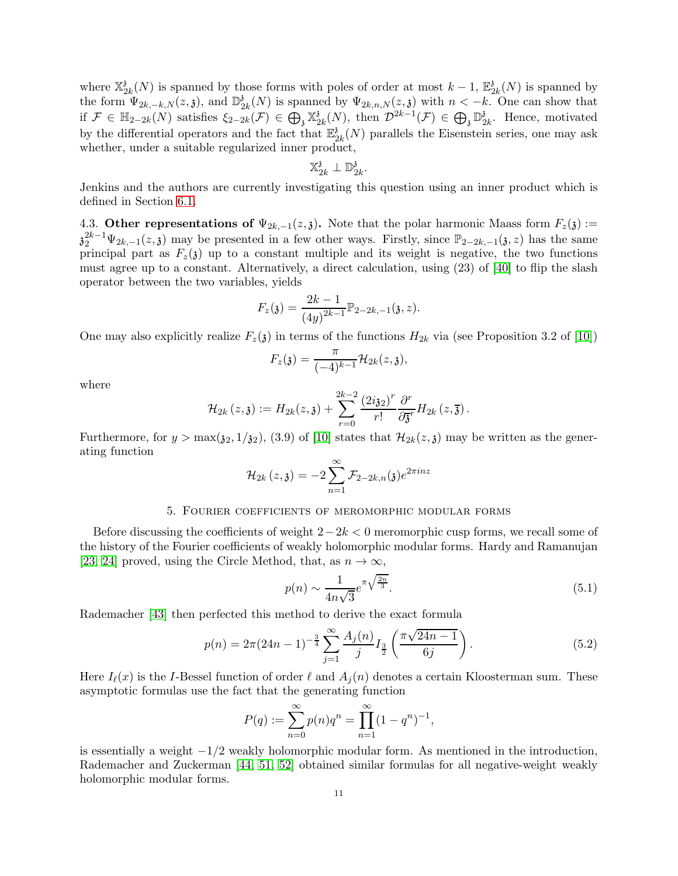where  $\mathbb{X}_2^3$  $\frac{3}{2k}(N)$  is spanned by those forms with poles of order at most  $k-1$ ,  $\mathbb{E}_2^3$  $\frac{\delta}{2k}(N)$  is spanned by the form  $\Psi_{2k,-k,N}(z,\mathfrak{z})$ , and  $\mathbb{D}_2^3$  $\frac{3}{2k}(N)$  is spanned by  $\Psi_{2k,n,N}(z,\mathfrak{z})$  with  $n \leq -k$ . One can show that if  $\mathcal{F} \in \mathbb{H}_{2-2k}(N)$  satisfies  $\xi_{2-2k}(\mathcal{F}) \in \bigoplus_{\mathfrak{z}} \mathbb{X}_{2}^{\mathfrak{z}}$  $\mathcal{L}_{2k}(N)$ , then  $\mathcal{D}^{2k-1}(\mathcal{F}) \in \bigoplus_{\mathfrak{z}} \mathbb{D}_{\mathfrak{z}}^{\mathfrak{z}}$  $\frac{3}{2k}$ . Hence, motivated by the differential operators and the fact that  $\mathbb{E}_2^3$  $\frac{\partial}{\partial k}(N)$  parallels the Eisenstein series, one may ask whether, under a suitable regularized inner product,

$$
\mathbb{X}_{2k}^{\mathfrak{z}}\perp \mathbb{D}_{2k}^{\mathfrak{z}}
$$

.

Jenkins and the authors are currently investigating this question using an inner product which is defined in Section [6.1.](#page-12-1)

4.3. Other representations of  $\Psi_{2k,-1}(z,\mathfrak{z})$ . Note that the polar harmonic Maass form  $F_z(\mathfrak{z}) :=$  $\mathfrak{z}_2^{2k-1}\Psi_{2k,-1}(z,\mathfrak{z})$  may be presented in a few other ways. Firstly, since  $\mathbb{P}_{2-2k,-1}(\mathfrak{z},z)$  has the same principal part as  $F_z(\mathfrak{z})$  up to a constant multiple and its weight is negative, the two functions must agree up to a constant. Alternatively, a direct calculation, using (23) of [\[40\]](#page-17-29) to flip the slash operator between the two variables, yields

$$
F_z(\mathfrak{z}) = \frac{2k-1}{(4y)^{2k-1}} \mathbb{P}_{2-2k,-1}(\mathfrak{z},z).
$$

One may also explicitly realize  $F_z(\mathfrak{z})$  in terms of the functions  $H_{2k}$  via (see Proposition 3.2 of [\[10\]](#page-17-28))

$$
F_z(\mathfrak{z}) = \frac{\pi}{(-4)^{k-1}} \mathcal{H}_{2k}(z, \mathfrak{z}),
$$

where

$$
\mathcal{H}_{2k}(z,\mathfrak{z}):=H_{2k}(z,\mathfrak{z})+\sum_{r=0}^{2k-2}\frac{(2i\mathfrak{z}_2)^r}{r!}\frac{\partial^r}{\partial\overline{\mathfrak{z}}^r}H_{2k}(z,\overline{\mathfrak{z}}).
$$

Furthermore, for  $y > \max(\mathfrak{z}_2, 1/\mathfrak{z}_2)$ , (3.9) of [\[10\]](#page-17-28) states that  $\mathcal{H}_{2k}(z, \mathfrak{z})$  may be written as the generating function

$$
\mathcal{H}_{2k}\left(z,\mathfrak{z}\right)=-2\sum_{n=1}^{\infty}\mathcal{F}_{2-2k,n}(\mathfrak{z})e^{2\pi inz}
$$

## 5. Fourier coefficients of meromorphic modular forms

<span id="page-10-2"></span>Before discussing the coefficients of weight  $2-2k < 0$  meromorphic cusp forms, we recall some of the history of the Fourier coefficients of weakly holomorphic modular forms. Hardy and Ramanujan [\[23,](#page-17-7) [24\]](#page-17-8) proved, using the Circle Method, that, as  $n \to \infty$ ,

<span id="page-10-0"></span>
$$
p(n) \sim \frac{1}{4n\sqrt{3}} e^{\pi \sqrt{\frac{2n}{3}}}.
$$
\n
$$
(5.1)
$$

Rademacher [\[43\]](#page-18-1) then perfected this method to derive the exact formula

<span id="page-10-1"></span>
$$
p(n) = 2\pi (24n - 1)^{-\frac{3}{4}} \sum_{j=1}^{\infty} \frac{A_j(n)}{j} I_{\frac{3}{2}} \left( \frac{\pi \sqrt{24n - 1}}{6j} \right).
$$
 (5.2)

Here  $I_{\ell}(x)$  is the I-Bessel function of order  $\ell$  and  $A_i(n)$  denotes a certain Kloosterman sum. These asymptotic formulas use the fact that the generating function

$$
P(q) := \sum_{n=0}^{\infty} p(n)q^n = \prod_{n=1}^{\infty} (1 - q^n)^{-1},
$$

is essentially a weight  $-1/2$  weakly holomorphic modular form. As mentioned in the introduction, Rademacher and Zuckerman [\[44,](#page-18-2) [51,](#page-18-3) [52\]](#page-18-4) obtained similar formulas for all negative-weight weakly holomorphic modular forms.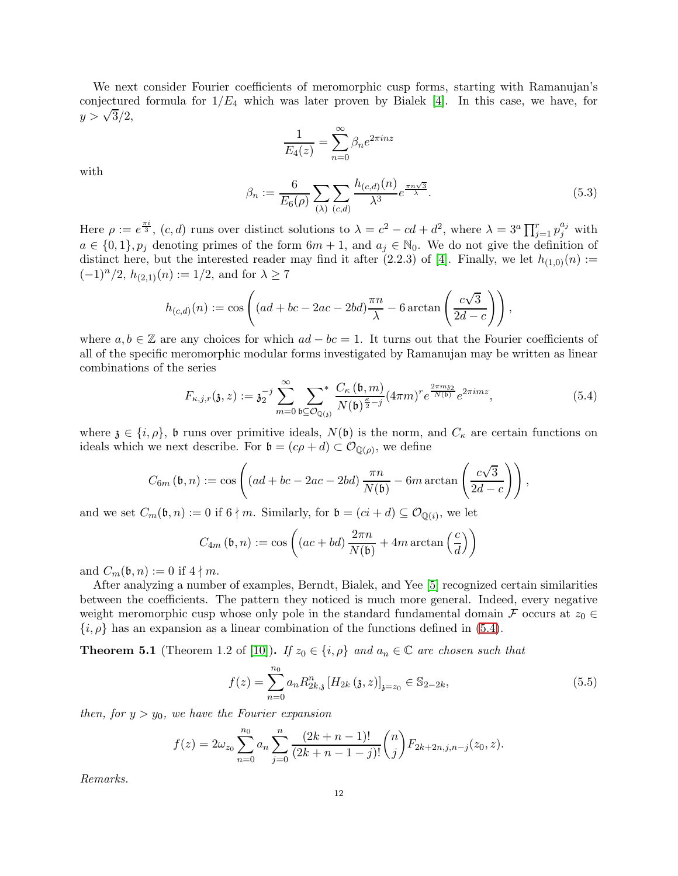We next consider Fourier coefficients of meromorphic cusp forms, starting with Ramanujan's conjectured formula for  $1/E_4$  which was later proven by Bialek [\[4\]](#page-16-3). In this case, we have, for  $y > \sqrt{3}/2,$ 

$$
\frac{1}{E_4(z)} = \sum_{n=0}^{\infty} \beta_n e^{2\pi i n z}
$$

with

<span id="page-11-0"></span>
$$
\beta_n := \frac{6}{E_6(\rho)} \sum_{(\lambda)} \sum_{(c,d)} \frac{h_{(c,d)}(n)}{\lambda^3} e^{\frac{\pi n \sqrt{3}}{\lambda}}.
$$
\n(5.3)

Here  $\rho := e^{\frac{\pi i}{3}}$ ,  $(c, d)$  runs over distinct solutions to  $\lambda = c^2 - cd + d^2$ , where  $\lambda = 3^a \prod_{j=1}^r p_j^{a_j}$  with  $a \in \{0,1\}, p_j$  denoting primes of the form  $6m + 1$ , and  $a_j \in \mathbb{N}_0$ . We do not give the definition of distinct here, but the interested reader may find it after (2.2.3) of [\[4\]](#page-16-3). Finally, we let  $h_{(1,0)}(n)$  :=  $(-1)^n/2$ ,  $h_{(2,1)}(n) := 1/2$ , and for  $\lambda \ge 7$ 

$$
h_{(c,d)}(n) := \cos\left((ad + bc - 2ac - 2bd)\frac{\pi n}{\lambda} - 6\arctan\left(\frac{c\sqrt{3}}{2d - c}\right)\right),\,
$$

where  $a, b \in \mathbb{Z}$  are any choices for which  $ad - bc = 1$ . It turns out that the Fourier coefficients of all of the specific meromorphic modular forms investigated by Ramanujan may be written as linear combinations of the series

<span id="page-11-2"></span>
$$
F_{\kappa,j,r}(\mathfrak{z},z) := \mathfrak{z}_2^{-j} \sum_{m=0}^{\infty} \sum_{\mathfrak{b} \subseteq \mathcal{O}_{\mathbb{Q}(\mathfrak{z})}} \frac{C_{\kappa}(\mathfrak{b},m)}{N(\mathfrak{b})^{\frac{\kappa}{2}-j}} (4\pi m)^r e^{\frac{2\pi m \mathfrak{z}_2}{N(\mathfrak{b})}} e^{2\pi i m z}, \tag{5.4}
$$

where  $\mathfrak{z} \in \{i, \rho\}$ , b runs over primitive ideals,  $N(\mathfrak{b})$  is the norm, and  $C_{\kappa}$  are certain functions on ideals which we next describe. For  $\mathfrak{b} = (c\rho + d) \subset \mathcal{O}_{\mathbb{Q}(\rho)}$ , we define

$$
C_{6m}(\mathfrak{b},n) := \cos\left((ad+bc-2ac-2bd)\frac{\pi n}{N(\mathfrak{b})}-6m\arctan\left(\frac{c\sqrt{3}}{2d-c}\right)\right),
$$

and we set  $C_m(\mathfrak{b}, n) := 0$  if  $6 \nmid m$ . Similarly, for  $\mathfrak{b} = (ci + d) \subseteq \mathcal{O}_{\mathbb{Q}(i)}$ , we let

$$
C_{4m}(\mathfrak{b}, n) := \cos\left( (ac + bd) \frac{2\pi n}{N(\mathfrak{b})} + 4m \arctan\left(\frac{c}{d}\right) \right)
$$

and  $C_m(\mathfrak{b}, n) := 0$  if  $4 \nmid m$ .

After analyzing a number of examples, Berndt, Bialek, and Yee [\[5\]](#page-16-4) recognized certain similarities between the coefficients. The pattern they noticed is much more general. Indeed, every negative weight meromorphic cusp whose only pole in the standard fundamental domain F occurs at  $z_0 \in$  $\{i, \rho\}$  has an expansion as a linear combination of the functions defined in [\(5.4\)](#page-11-2).

<span id="page-11-1"></span>**Theorem 5.1** (Theorem 1.2 of [\[10\]](#page-17-28)). If  $z_0 \in \{i, \rho\}$  and  $a_n \in \mathbb{C}$  are chosen such that

<span id="page-11-3"></span>
$$
f(z) = \sum_{n=0}^{n_0} a_n R_{2k,3}^n [H_{2k}(\mathfrak{z}, z)]_{\mathfrak{z}=z_0} \in \mathbb{S}_{2-2k},
$$
\n(5.5)

then, for  $y > y_0$ , we have the Fourier expansion

$$
f(z) = 2\omega_{z_0} \sum_{n=0}^{n_0} a_n \sum_{j=0}^n \frac{(2k+n-1)!}{(2k+n-1-j)!} {n \choose j} F_{2k+2n,j,n-j}(z_0,z).
$$

Remarks.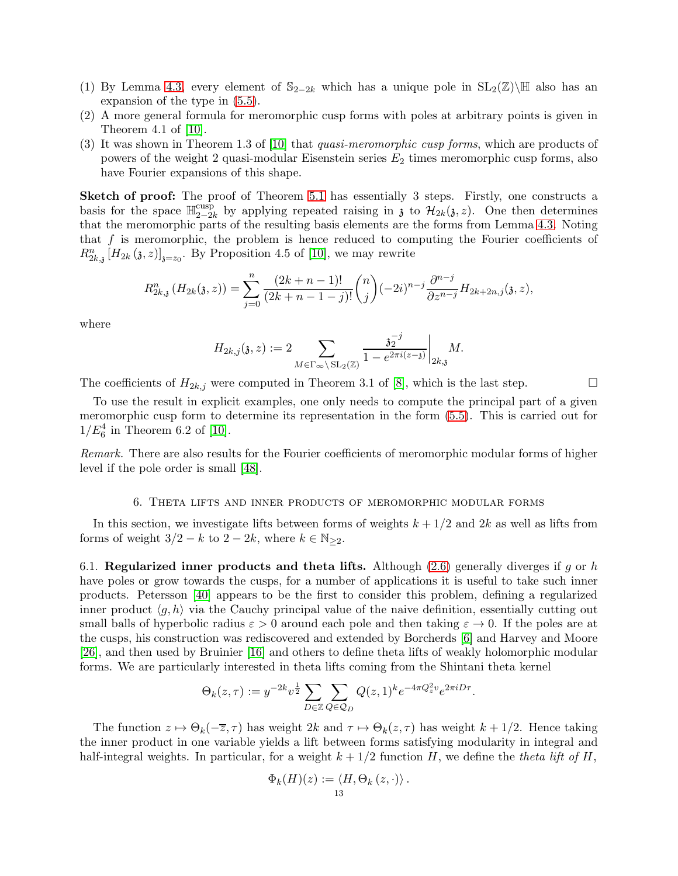- (1) By Lemma [4.3,](#page-8-1) every element of  $\mathbb{S}_{2-2k}$  which has a unique pole in  $SL_2(\mathbb{Z})\backslash\mathbb{H}$  also has an expansion of the type in [\(5.5\)](#page-11-3).
- (2) A more general formula for meromorphic cusp forms with poles at arbitrary points is given in Theorem 4.1 of [\[10\]](#page-17-28).
- (3) It was shown in Theorem 1.3 of [\[10\]](#page-17-28) that quasi-meromorphic cusp forms, which are products of powers of the weight 2 quasi-modular Eisenstein series  $E_2$  times meromorphic cusp forms, also have Fourier expansions of this shape.

Sketch of proof: The proof of Theorem [5.1](#page-11-1) has essentially 3 steps. Firstly, one constructs a basis for the space  $\mathbb{H}_{2-2i}^{\text{cusp}}$  $\mathcal{L}_{2-2k}^{\text{cusp}}$  by applying repeated raising in z to  $\mathcal{H}_{2k}(\mathfrak{z}, z)$ . One then determines that the meromorphic parts of the resulting basis elements are the forms from Lemma [4.3.](#page-8-1) Noting that f is meromorphic, the problem is hence reduced to computing the Fourier coefficients of  $R_{2k,3}^n[H_{2k}(\mathfrak{z},z)]_{\mathfrak{z}=z_0}$ . By Proposition 4.5 of [\[10\]](#page-17-28), we may rewrite

$$
R_{2k,3}^n(H_{2k}(3,z)) = \sum_{j=0}^n \frac{(2k+n-1)!}{(2k+n-1-j)!} \binom{n}{j} (-2i)^{n-j} \frac{\partial^{n-j}}{\partial z^{n-j}} H_{2k+2n,j}(3,z),
$$

where

$$
H_{2k,j}(\mathfrak{z},z) := 2 \sum_{M \in \Gamma_{\infty} \backslash \mathrm{SL}_2(\mathbb{Z})} \frac{\mathfrak{z}_2^{-j}}{1 - e^{2\pi i (z - \mathfrak{z})}} \bigg|_{2k,\mathfrak{z}} M.
$$

The coefficients of  $H_{2k,j}$  were computed in Theorem 3.1 of [\[8\]](#page-16-8), which is the last step.

To use the result in explicit examples, one only needs to compute the principal part of a given meromorphic cusp form to determine its representation in the form [\(5.5\)](#page-11-3). This is carried out for  $1/E_6^4$  in Theorem 6.2 of [\[10\]](#page-17-28).

Remark. There are also results for the Fourier coefficients of meromorphic modular forms of higher level if the pole order is small [\[48\]](#page-18-8).

### 6. Theta lifts and inner products of meromorphic modular forms

<span id="page-12-0"></span>In this section, we investigate lifts between forms of weights  $k + 1/2$  and  $2k$  as well as lifts from forms of weight  $3/2 - k$  to  $2 - 2k$ , where  $k \in \mathbb{N}_{\geq 2}$ .

<span id="page-12-1"></span>6.1. Regularized inner products and theta lifts. Although [\(2.6\)](#page-5-1) generally diverges if q or h have poles or grow towards the cusps, for a number of applications it is useful to take such inner products. Petersson [\[40\]](#page-17-29) appears to be the first to consider this problem, defining a regularized inner product  $\langle q, h \rangle$  via the Cauchy principal value of the naive definition, essentially cutting out small balls of hyperbolic radius  $\varepsilon > 0$  around each pole and then taking  $\varepsilon \to 0$ . If the poles are at the cusps, his construction was rediscovered and extended by Borcherds [\[6\]](#page-16-9) and Harvey and Moore [\[26\]](#page-17-30), and then used by Bruinier [\[16\]](#page-17-31) and others to define theta lifts of weakly holomorphic modular forms. We are particularly interested in theta lifts coming from the Shintani theta kernel

$$
\Theta_k(z,\tau) := y^{-2k} v^{\frac{1}{2}} \sum_{D \in \mathbb{Z}} \sum_{Q \in \mathcal{Q}_D} Q(z,1)^k e^{-4\pi Q_z^2 v} e^{2\pi i D\tau}.
$$

The function  $z \mapsto \Theta_k(-\overline{z}, \tau)$  has weight  $2k$  and  $\tau \mapsto \Theta_k(z, \tau)$  has weight  $k + 1/2$ . Hence taking the inner product in one variable yields a lift between forms satisfying modularity in integral and half-integral weights. In particular, for a weight  $k + 1/2$  function H, we define the theta lift of H,

$$
\Phi_k(H)(z) := \langle H, \Theta_k(z, \cdot) \rangle.
$$
<sup>13</sup>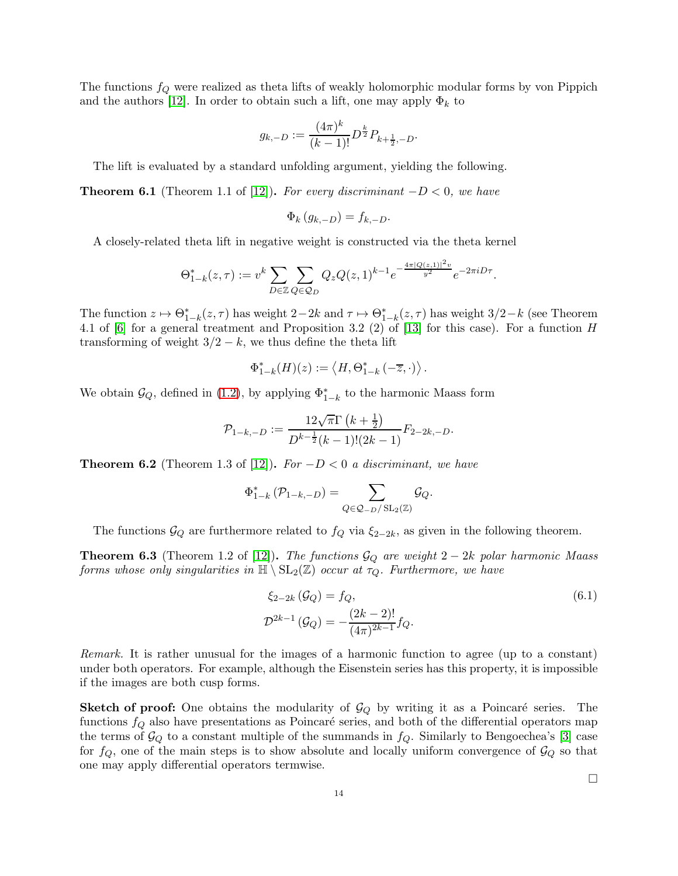The functions  $f_Q$  were realized as theta lifts of weakly holomorphic modular forms by von Pippich and the authors [\[12\]](#page-17-4). In order to obtain such a lift, one may apply  $\Phi_k$  to

$$
g_{k,-D} := \frac{(4\pi)^k}{(k-1)!} D^{\frac{k}{2}} P_{k+\frac{1}{2},-D}.
$$

The lift is evaluated by a standard unfolding argument, yielding the following.

<span id="page-13-0"></span>**Theorem 6.1** (Theorem 1.1 of [\[12\]](#page-17-4)). For every discriminant  $-D < 0$ , we have

$$
\Phi_k(g_{k,-D}) = f_{k,-D}.
$$

A closely-related theta lift in negative weight is constructed via the theta kernel

$$
\Theta_{1-k}^*(z,\tau) := v^k \sum_{D \in \mathbb{Z}} \sum_{Q \in \mathcal{Q}_D} Q_z Q(z,1)^{k-1} e^{-\frac{4\pi |Q(z,1)|^2 v}{y^2}} e^{-2\pi i D\tau}.
$$

The function  $z \mapsto \Theta_{1-k}^*(z, \tau)$  has weight  $2-2k$  and  $\tau \mapsto \Theta_{1-k}^*(z, \tau)$  has weight  $3/2-k$  (see Theorem 4.1 of [\[6\]](#page-16-9) for a general treatment and Proposition 3.2 (2) of [\[13\]](#page-17-32) for this case). For a function H transforming of weight  $3/2 - k$ , we thus define the theta lift

$$
\Phi_{1-k}^*(H)(z) := \langle H, \Theta_{1-k}^* \left(-\overline{z}, \cdot\right) \rangle.
$$

We obtain  $\mathcal{G}_Q$ , defined in [\(1.2\)](#page-1-0), by applying  $\Phi_{1-k}^*$  to the harmonic Maass form

$$
\mathcal{P}_{1-k,-D} := \frac{12\sqrt{\pi}\Gamma\left(k+\frac{1}{2}\right)}{D^{k-\frac{1}{2}}(k-1)!(2k-1)} F_{2-2k,-D}.
$$

<span id="page-13-1"></span>**Theorem 6.2** (Theorem 1.3 of [\[12\]](#page-17-4)). For  $-D < 0$  a discriminant, we have

$$
\Phi_{1-k}^* (\mathcal{P}_{1-k,-D}) = \sum_{Q \in \mathcal{Q}_{-D}/\mathrm{SL}_2(\mathbb{Z})} \mathcal{G}_Q.
$$

The functions  $\mathcal{G}_Q$  are furthermore related to  $f_Q$  via  $\xi_{2-2k}$ , as given in the following theorem.

<span id="page-13-2"></span>**Theorem 6.3** (Theorem 1.2 of [\[12\]](#page-17-4)). The functions  $\mathcal{G}_Q$  are weight 2 – 2k polar harmonic Maass forms whose only singularities in  $\mathbb{H} \setminus \mathrm{SL}_2(\mathbb{Z})$  occur at  $\tau_Q$ . Furthermore, we have

$$
\xi_{2-2k}(\mathcal{G}_Q) = f_Q,
$$
\n
$$
\mathcal{D}^{2k-1}(\mathcal{G}_Q) = -\frac{(2k-2)!}{(4\pi)^{2k-1}} f_Q.
$$
\n(6.1)

Remark. It is rather unusual for the images of a harmonic function to agree (up to a constant) under both operators. For example, although the Eisenstein series has this property, it is impossible if the images are both cusp forms.

**Sketch of proof:** One obtains the modularity of  $\mathcal{G}_Q$  by writing it as a Poincaré series. The functions  $f_Q$  also have presentations as Poincaré series, and both of the differential operators map the terms of  $\mathcal{G}_Q$  to a constant multiple of the summands in  $f_Q$ . Similarly to Bengoechea's [\[3\]](#page-16-0) case for  $f_Q$ , one of the main steps is to show absolute and locally uniform convergence of  $\mathcal{G}_Q$  so that one may apply differential operators termwise.

<span id="page-13-3"></span> $\Box$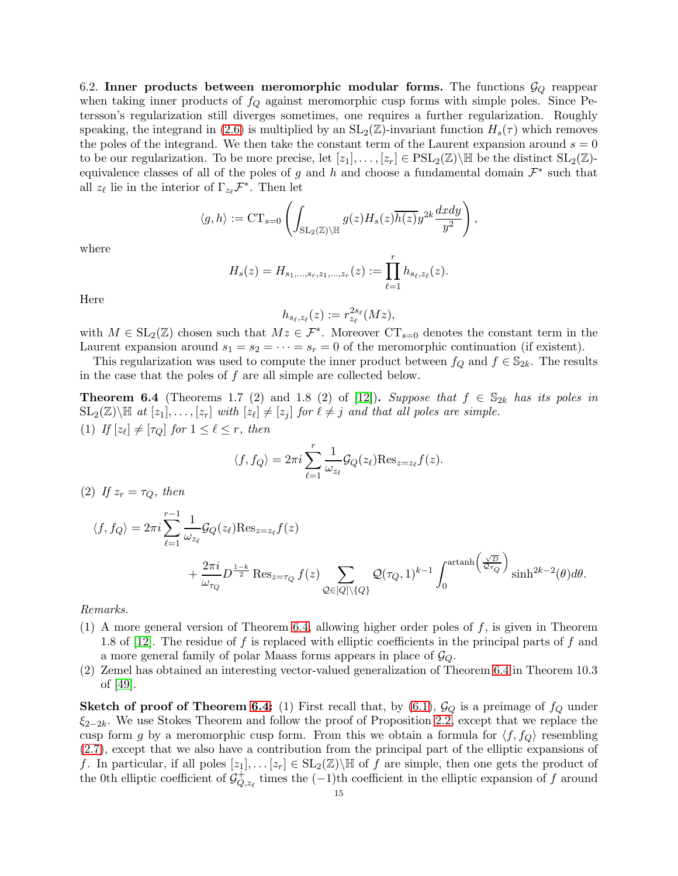6.2. Inner products between meromorphic modular forms. The functions  $\mathcal{G}_Q$  reappear when taking inner products of  $f_Q$  against meromorphic cusp forms with simple poles. Since Petersson's regularization still diverges sometimes, one requires a further regularization. Roughly speaking, the integrand in [\(2.6\)](#page-5-1) is multiplied by an  $SL_2(\mathbb{Z})$ -invariant function  $H_s(\tau)$  which removes the poles of the integrand. We then take the constant term of the Laurent expansion around  $s = 0$ to be our regularization. To be more precise, let  $[z_1], \ldots, [z_r] \in \text{PSL}_2(\mathbb{Z})\backslash \mathbb{H}$  be the distinct  $\text{SL}_2(\mathbb{Z})$ equivalence classes of all of the poles of g and h and choose a fundamental domain  $\mathcal{F}^*$  such that all  $z_{\ell}$  lie in the interior of  $\Gamma_{z_{\ell}}\mathcal{F}^*$ . Then let

$$
\langle g, h \rangle := \mathrm{CT}_{s=0} \left( \int_{\mathrm{SL}_2(\mathbb{Z}) \backslash \mathbb{H}} g(z) H_s(z) \overline{h(z)} y^{2k} \frac{dxdy}{y^2} \right),
$$

where

$$
H_s(z) = H_{s_1,\ldots,s_r,z_1,\ldots,z_r}(z) := \prod_{\ell=1}^r h_{s_\ell,z_\ell}(z).
$$

Here

$$
h_{s_{\ell},z_{\ell}}(z) := r_{z_{\ell}}^{2s_{\ell}}(Mz),
$$

with  $M \in SL_2(\mathbb{Z})$  chosen such that  $Mz \in \mathcal{F}^*$ . Moreover  $CT_{s=0}$  denotes the constant term in the Laurent expansion around  $s_1 = s_2 = \cdots = s_r = 0$  of the meromorphic continuation (if existent).

This regularization was used to compute the inner product between  $f_Q$  and  $f \in \mathbb{S}_{2k}$ . The results in the case that the poles of  $f$  are all simple are collected below.

<span id="page-14-0"></span>**Theorem 6.4** (Theorems 1.7 (2) and 1.8 (2) of [\[12\]](#page-17-4)). Suppose that  $f \in S_{2k}$  has its poles in  $\text{SL}_2(\mathbb{Z})\backslash\mathbb{H}$  at  $[z_1], \ldots, [z_r]$  with  $[z_\ell] \neq [z_j]$  for  $\ell \neq j$  and that all poles are simple. (1) If  $[z_{\ell}] \neq [\tau_Q]$  for  $1 \leq \ell \leq r$ , then

$$
\langle f, f_Q \rangle = 2\pi i \sum_{\ell=1}^r \frac{1}{\omega_{z_\ell}} \mathcal{G}_Q(z_\ell) \text{Res}_{z=z_\ell} f(z).
$$

(2) If  $z_r = \tau_Q$ , then

$$
\langle f, f_Q \rangle = 2\pi i \sum_{\ell=1}^{r-1} \frac{1}{\omega_{z_\ell}} \mathcal{G}_Q(z_\ell) \text{Res}_{z=z_\ell} f(z) + \frac{2\pi i}{\omega_{\tau_Q}} D^{\frac{1-k}{2}} \text{Res}_{z=\tau_Q} f(z) \sum_{\mathcal{Q} \in [Q] \backslash \{Q\}} \mathcal{Q}(\tau_Q, 1)^{k-1} \int_0^{\arctanh\left(\frac{\sqrt{D}}{\mathcal{Q} \tau_Q}\right)} \sinh^{2k-2}(\theta) d\theta.
$$

Remarks.

- (1) A more general version of Theorem [6.4,](#page-14-0) allowing higher order poles of f, is given in Theorem 1.8 of [\[12\]](#page-17-4). The residue of f is replaced with elliptic coefficients in the principal parts of f and a more general family of polar Maass forms appears in place of  $\mathcal{G}_Q$ .
- (2) Zemel has obtained an interesting vector-valued generalization of Theorem [6.4](#page-14-0) in Theorem 10.3 of [\[49\]](#page-18-9).

**Sketch of proof of Theorem [6.4:](#page-14-0)** (1) First recall that, by  $(6.1)$ ,  $\mathcal{G}_Q$  is a preimage of  $f_Q$  under  $\xi_{2-2k}$ . We use Stokes Theorem and follow the proof of Proposition [2.2,](#page-5-2) except that we replace the cusp form g by a meromorphic cusp form. From this we obtain a formula for  $\langle f, f_{\mathcal{Q}} \rangle$  resembling [\(2.7\)](#page-5-3), except that we also have a contribution from the principal part of the elliptic expansions of f. In particular, if all poles  $[z_1], \ldots [z_r] \in SL_2(\mathbb{Z})\backslash \mathbb{H}$  of f are simple, then one gets the product of the 0th elliptic coefficient of  $\mathcal{G}_Q^+$  $\bigcirc_{Q,z_\ell}^{\mathcal{A}}$  times the  $(-1)$ <sup>th</sup> coefficient in the elliptic expansion of f around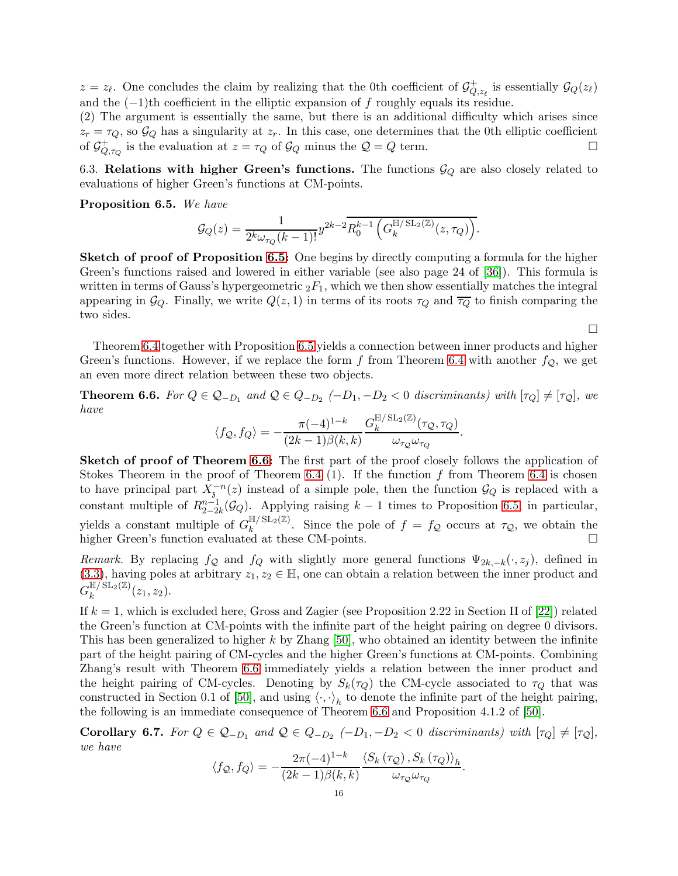$z = z_{\ell}$ . One concludes the claim by realizing that the 0th coefficient of  $\mathcal{G}_Q^+$  $Q_{Q,z_{\ell}}$  is essentially  $\mathcal{G}_Q(z_{\ell})$ and the  $(-1)$ <sup>th</sup> coefficient in the elliptic expansion of f roughly equals its residue.

(2) The argument is essentially the same, but there is an additional difficulty which arises since  $z_r = \tau_Q$ , so  $\mathcal{G}_Q$  has a singularity at  $z_r$ . In this case, one determines that the 0th elliptic coefficient of  $\mathcal{G}_{Q}^+$  is the evaluation at  $z = \tau_Q$  of  $\mathcal{G}_Q$  minus the  $\mathcal{Q} = Q$  term. of  $\mathcal{G}^+_Q$  $Q_{Q,\tau_Q}$  is the evaluation at  $z = \tau_Q$  of  $\mathcal{G}_Q$  minus the  $\mathcal{Q} = Q$  term.

6.3. Relations with higher Green's functions. The functions  $\mathcal{G}_Q$  are also closely related to evaluations of higher Green's functions at CM-points.

<span id="page-15-2"></span>Proposition 6.5. We have

$$
\mathcal{G}_Q(z) = \frac{1}{2^k \omega_{\tau_Q}(k-1)!} y^{2k-2} R_0^{k-1} \left( G_k^{\mathbb{H}/\operatorname{SL}_2(\mathbb{Z})}(z, \tau_Q) \right).
$$

Sketch of proof of Proposition [6.5:](#page-15-2) One begins by directly computing a formula for the higher Green's functions raised and lowered in either variable (see also page 24 of [\[36\]](#page-17-23)). This formula is written in terms of Gauss's hypergeometric  ${}_2F_1$ , which we then show essentially matches the integral appearing in  $\mathcal{G}_Q$ . Finally, we write  $Q(z, 1)$  in terms of its roots  $\tau_Q$  and  $\overline{\tau_Q}$  to finish comparing the two sides.

Theorem [6.4](#page-14-0) together with Proposition [6.5](#page-15-2) yields a connection between inner products and higher Green's functions. However, if we replace the form f from Theorem [6.4](#page-14-0) with another  $f_{\mathcal{Q}}$ , we get an even more direct relation between these two objects.

 $\Box$ 

<span id="page-15-0"></span>**Theorem 6.6.** For  $Q \in Q_{-D_1}$  and  $Q \in Q_{-D_2}$  (-D<sub>1</sub>, -D<sub>2</sub> < 0 discriminants) with  $[\tau_Q] \neq [\tau_Q]$ , we have

$$
\langle f_{\mathcal{Q}}, f_{Q} \rangle = -\frac{\pi (-4)^{1-k}}{(2k-1)\beta(k,k)} \frac{G_k^{\mathbb{H}/\operatorname{SL}_2(\mathbb{Z})}(\tau_{\mathcal{Q}}, \tau_Q)}{\omega_{\tau_{\mathcal{Q}}}\omega_{\tau_Q}}
$$

.

Sketch of proof of Theorem [6.6:](#page-15-0) The first part of the proof closely follows the application of Stokes Theorem in the proof of Theorem [6.4](#page-14-0) (1). If the function f from Theorem 6.4 is chosen to have principal part  $X_{\delta}^{-n}(z)$  instead of a simple pole, then the function  $\mathcal{G}_Q$  is replaced with a constant multiple of  $R_{2-2}^{n-1}$  $_{2-2k}^{n-1}(\mathcal{G}_Q)$ . Applying raising  $k-1$  times to Proposition [6.5,](#page-15-2) in particular, yields a constant multiple of  $G_k^{\mathbb{H}/\mathrm{SL}_2(\mathbb{Z})}$  $\int_{k}^{\ln(N)}$ . Since the pole of  $f = f_{\mathcal{Q}}$  occurs at  $\tau_{\mathcal{Q}}$ , we obtain the higher Green's function evaluated at these CM-points.

Remark. By replacing  $f_{\mathcal{Q}}$  and  $f_{Q}$  with slightly more general functions  $\Psi_{2k,-k}(\cdot,z_j)$ , defined in [\(3.3\)](#page-7-2), having poles at arbitrary  $z_1, z_2 \in \mathbb{H}$ , one can obtain a relation between the inner product and  $G_k^{\mathbb{H}/\operatorname{SL}_2(\mathbb{Z})}$  $\int_k^{\ln(1)} \frac{\sin(2\pi x)}{x_1(x_2)}$ 

If  $k = 1$ , which is excluded here, Gross and Zagier (see Proposition 2.22 in Section II of [\[22\]](#page-17-22)) related the Green's function at CM-points with the infinite part of the height pairing on degree 0 divisors. This has been generalized to higher k by Zhang [\[50\]](#page-18-10), who obtained an identity between the infinite part of the height pairing of CM-cycles and the higher Green's functions at CM-points. Combining Zhang's result with Theorem [6.6](#page-15-0) immediately yields a relation between the inner product and the height pairing of CM-cycles. Denoting by  $S_k(\tau_Q)$  the CM-cycle associated to  $\tau_Q$  that was constructed in Section 0.1 of [\[50\]](#page-18-10), and using  $\langle \cdot, \cdot \rangle_h$  to denote the infinite part of the height pairing, the following is an immediate consequence of Theorem [6.6](#page-15-0) and Proposition 4.1.2 of [\[50\]](#page-18-10).

<span id="page-15-1"></span>**Corollary 6.7.** For  $Q \in Q_{-D_1}$  and  $Q \in Q_{-D_2}$  (-D<sub>1</sub>, -D<sub>2</sub> < 0 discriminants) with  $[\tau_Q] \neq [\tau_Q]$ , we have

$$
\langle f_{\mathcal{Q}}, f_{Q} \rangle = -\frac{2\pi (-4)^{1-k}}{(2k-1)\beta(k,k)} \frac{\langle S_k(\tau_{\mathcal{Q}}), S_k(\tau_{Q}) \rangle_h}{\omega_{\tau_{\mathcal{Q}}}\omega_{\tau_{Q}}}.
$$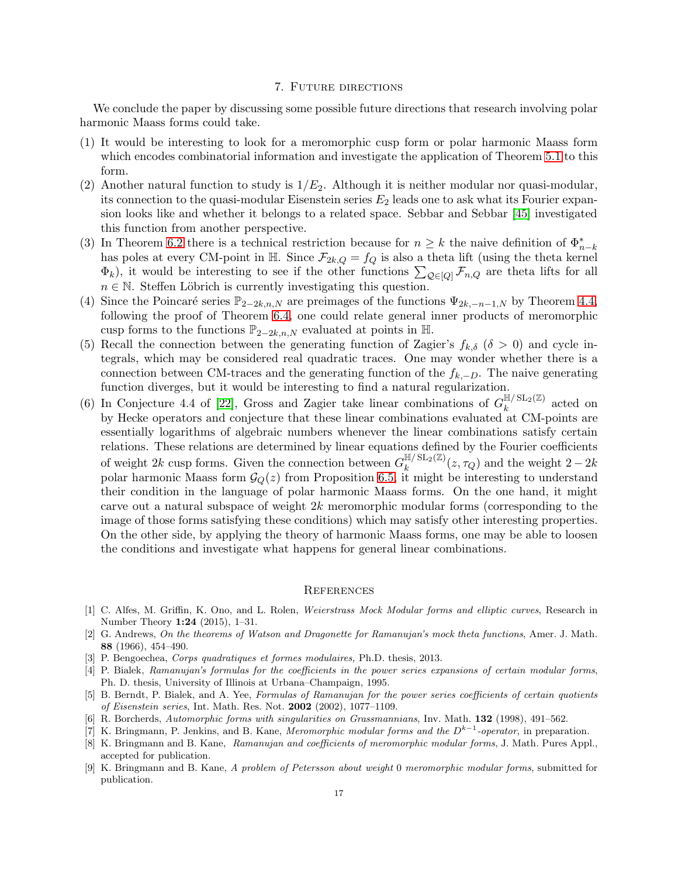## 7. Future directions

<span id="page-16-5"></span>We conclude the paper by discussing some possible future directions that research involving polar harmonic Maass forms could take.

- (1) It would be interesting to look for a meromorphic cusp form or polar harmonic Maass form which encodes combinatorial information and investigate the application of Theorem [5.1](#page-11-1) to this form.
- (2) Another natural function to study is  $1/E_2$ . Although it is neither modular nor quasi-modular, its connection to the quasi-modular Eisenstein series  $E_2$  leads one to ask what its Fourier expansion looks like and whether it belongs to a related space. Sebbar and Sebbar [\[45\]](#page-18-6) investigated this function from another perspective.
- (3) In Theorem [6.2](#page-13-1) there is a technical restriction because for  $n \geq k$  the naive definition of  $\Phi_{n-k}^*$ has poles at every CM-point in  $\mathbb{H}$ . Since  $\mathcal{F}_{2k,Q} = f_Q$  is also a theta lift (using the theta kernel  $\Phi_k$ ), it would be interesting to see if the other functions  $\sum_{\mathcal{Q}\in[Q]} \mathcal{F}_{n,Q}$  are theta lifts for all  $n \in \mathbb{N}$ . Steffen Löbrich is currently investigating this question.
- (4) Since the Poincaré series  $\mathbb{P}_{2-2k,n,N}$  are preimages of the functions  $\Psi_{2k,-n-1,N}$  by Theorem [4.4,](#page-8-0) following the proof of Theorem [6.4,](#page-14-0) one could relate general inner products of meromorphic cusp forms to the functions  $\mathbb{P}_{2-2k,n,N}$  evaluated at points in H.
- (5) Recall the connection between the generating function of Zagier's  $f_{k,\delta}$  ( $\delta > 0$ ) and cycle integrals, which may be considered real quadratic traces. One may wonder whether there is a connection between CM-traces and the generating function of the  $f_{k,-D}$ . The naive generating function diverges, but it would be interesting to find a natural regularization.
- (6) In Conjecture 4.4 of [\[22\]](#page-17-22), Gross and Zagier take linear combinations of  $G_k^{\mathbb{H}/\mathrm{SL}_2(\mathbb{Z})}$  $\int_{k}^{\ln f}$  acted on by Hecke operators and conjecture that these linear combinations evaluated at CM-points are essentially logarithms of algebraic numbers whenever the linear combinations satisfy certain relations. These relations are determined by linear equations defined by the Fourier coefficients of weight 2k cusp forms. Given the connection between  $G_k^{\mathbb{H}/\mathrm{SL}_2(\mathbb{Z})}$  $\int_k^{\ln/3}$   $\frac{\text{ln}(z, \tau_Q)}{z, \tau_Q}$  and the weight  $2 - 2k$ polar harmonic Maass form  $\mathcal{G}_O(z)$  from Proposition [6.5,](#page-15-2) it might be interesting to understand their condition in the language of polar harmonic Maass forms. On the one hand, it might carve out a natural subspace of weight 2k meromorphic modular forms (corresponding to the image of those forms satisfying these conditions) which may satisfy other interesting properties. On the other side, by applying the theory of harmonic Maass forms, one may be able to loosen the conditions and investigate what happens for general linear combinations.

#### **REFERENCES**

- <span id="page-16-1"></span>[1] C. Alfes, M. Griffin, K. Ono, and L. Rolen, Weierstrass Mock Modular forms and elliptic curves, Research in Number Theory 1:24 (2015), 1–31.
- <span id="page-16-2"></span>[2] G. Andrews, On the theorems of Watson and Dragonette for Ramanujan's mock theta functions, Amer. J. Math. 88 (1966), 454–490.
- <span id="page-16-3"></span><span id="page-16-0"></span>[3] P. Bengoechea, Corps quadratiques et formes modulaires, Ph.D. thesis, 2013.
- [4] P. Bialek, Ramanujan's formulas for the coefficients in the power series expansions of certain modular forms, Ph. D. thesis, University of Illinois at Urbana–Champaign, 1995.
- <span id="page-16-4"></span>[5] B. Berndt, P. Bialek, and A. Yee, Formulas of Ramanujan for the power series coefficients of certain quotients of Eisenstein series, Int. Math. Res. Not. 2002 (2002), 1077–1109.
- <span id="page-16-9"></span><span id="page-16-7"></span>[6] R. Borcherds, Automorphic forms with singularities on Grassmannians, Inv. Math. 132 (1998), 491–562.
- <span id="page-16-8"></span>[7] K. Bringmann, P. Jenkins, and B. Kane, *Meromorphic modular forms and the*  $D^{k-1}$ -operator, in preparation.
- [8] K. Bringmann and B. Kane, Ramanujan and coefficients of meromorphic modular forms, J. Math. Pures Appl., accepted for publication.
- <span id="page-16-6"></span>[9] K. Bringmann and B. Kane, A problem of Petersson about weight 0 meromorphic modular forms, submitted for publication.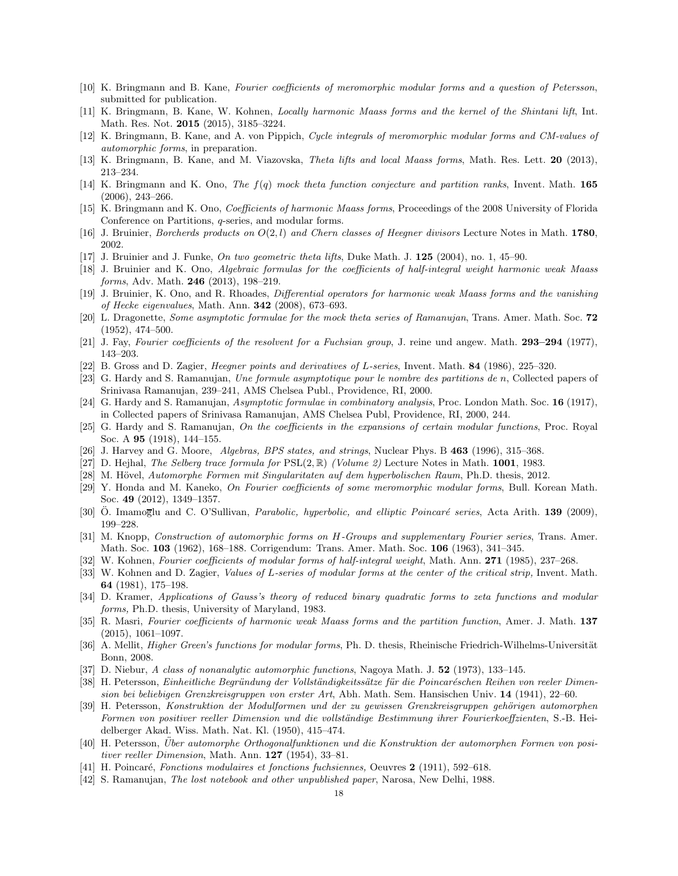- <span id="page-17-28"></span><span id="page-17-6"></span>[10] K. Bringmann and B. Kane, Fourier coefficients of meromorphic modular forms and a question of Petersson, submitted for publication.
- <span id="page-17-4"></span>[11] K. Bringmann, B. Kane, W. Kohnen, Locally harmonic Maass forms and the kernel of the Shintani lift, Int. Math. Res. Not. 2015 (2015), 3185–3224.
- <span id="page-17-32"></span>[12] K. Bringmann, B. Kane, and A. von Pippich, Cycle integrals of meromorphic modular forms and CM-values of automorphic forms, in preparation.
- <span id="page-17-13"></span>[13] K. Bringmann, B. Kane, and M. Viazovska, Theta lifts and local Maass forms, Math. Res. Lett. 20 (2013), 213–234.
- [14] K. Bringmann and K. Ono, The f(q) mock theta function conjecture and partition ranks, Invent. Math. 165 (2006), 243–266.
- <span id="page-17-31"></span><span id="page-17-12"></span>[15] K. Bringmann and K. Ono, Coefficients of harmonic Maass forms, Proceedings of the 2008 University of Florida Conference on Partitions, q-series, and modular forms.
- <span id="page-17-20"></span>[16] J. Bruinier, Borcherds products on  $O(2, l)$  and Chern classes of Heegner divisors Lecture Notes in Math. 1780. 2002.
- <span id="page-17-9"></span>[17] J. Bruinier and J. Funke, On two geometric theta lifts, Duke Math. J. 125 (2004), no. 1, 45–90.
- [18] J. Bruinier and K. Ono, Algebraic formulas for the coefficients of half-integral weight harmonic weak Maass forms, Adv. Math. **246** (2013), 198-219.
- <span id="page-17-27"></span>[19] J. Bruinier, K. Ono, and R. Rhoades, Differential operators for harmonic weak Maass forms and the vanishing of Hecke eigenvalues, Math. Ann. 342 (2008), 673–693.
- <span id="page-17-14"></span>[20] L. Dragonette, Some asymptotic formulae for the mock theta series of Ramanujan, Trans. Amer. Math. Soc. 72 (1952), 474–500.
- <span id="page-17-22"></span><span id="page-17-19"></span>[21] J. Fay, Fourier coefficients of the resolvent for a Fuchsian group, J. reine und angew. Math. 293–294 (1977), 143–203.
- <span id="page-17-7"></span>[22] B. Gross and D. Zagier, Heegner points and derivatives of L-series, Invent. Math. 84 (1986), 225–320.
- [23] G. Hardy and S. Ramanujan, Une formule asymptotique pour le nombre des partitions de n, Collected papers of Srinivasa Ramanujan, 239–241, AMS Chelsea Publ., Providence, RI, 2000.
- <span id="page-17-8"></span>[24] G. Hardy and S. Ramanujan, Asymptotic formulae in combinatory analysis, Proc. London Math. Soc. 16 (1917), in Collected papers of Srinivasa Ramanujan, AMS Chelsea Publ, Providence, RI, 2000, 244.
- <span id="page-17-15"></span>[25] G. Hardy and S. Ramanujan, On the coefficients in the expansions of certain modular functions, Proc. Royal Soc. A 95 (1918), 144–155.
- <span id="page-17-30"></span><span id="page-17-21"></span>[26] J. Harvey and G. Moore, Algebras, BPS states, and strings, Nuclear Phys. B 463 (1996), 315–368.
- <span id="page-17-5"></span>[27] D. Hejhal, *The Selberg trace formula for*  $PSL(2,\mathbb{R})$  *(Volume 2)* Lecture Notes in Math. **1001**, 1983.
- <span id="page-17-18"></span>[28] M. Hövel, Automorphe Formen mit Singularitaten auf dem hyperbolischen Raum, Ph.D. thesis, 2012.
- [29] Y. Honda and M. Kaneko, On Fourier coefficients of some meromorphic modular forms, Bull. Korean Math. Soc. 49 (2012), 1349–1357.
- <span id="page-17-11"></span><span id="page-17-3"></span>[30] Ö. Imamoglu and C. O'Sullivan, Parabolic, hyperbolic, and elliptic Poincaré series, Acta Arith. 139 (2009). 199–228.
- [31] M. Knopp, Construction of automorphic forms on H-Groups and supplementary Fourier series, Trans. Amer. Math. Soc. 103 (1962), 168–188. Corrigendum: Trans. Amer. Math. Soc. 106 (1963), 341–345.
- <span id="page-17-25"></span><span id="page-17-0"></span>[32] W. Kohnen, Fourier coefficients of modular forms of half-integral weight, Math. Ann. 271 (1985), 237–268.
- [33] W. Kohnen and D. Zagier, *Values of L-series of modular forms at the center of the critical strip*, Invent. Math. 64 (1981), 175–198.
- <span id="page-17-1"></span>[34] D. Kramer, Applications of Gauss's theory of reduced binary quadratic forms to zeta functions and modular forms, Ph.D. thesis, University of Maryland, 1983.
- <span id="page-17-10"></span>[35] R. Masri, Fourier coefficients of harmonic weak Maass forms and the partition function, Amer. J. Math. 137 (2015), 1061–1097.
- <span id="page-17-23"></span>[36] A. Mellit, *Higher Green's functions for modular forms*, Ph. D. thesis, Rheinische Friedrich-Wilhelms-Universität Bonn, 2008.
- <span id="page-17-26"></span><span id="page-17-2"></span>[37] D. Niebur, A class of nonanalytic automorphic functions, Nagoya Math. J. 52 (1973), 133-145.
- [38] H. Petersson, Einheitliche Begründung der Vollständigkeitssätze für die Poincaréschen Reihen von reeler Dimension bei beliebigen Grenzkreisgruppen von erster Art, Abh. Math. Sem. Hansischen Univ. 14 (1941), 22–60.
- <span id="page-17-17"></span>[39] H. Petersson, Konstruktion der Modulformen und der zu gewissen Grenzkreisgruppen gehörigen automorphen Formen von positiver reeller Dimension und die vollständige Bestimmung ihrer Fourierkoeffzienten, S.-B. Heidelberger Akad. Wiss. Math. Nat. Kl. (1950), 415–474.
- <span id="page-17-29"></span>[40] H. Petersson, Über automorphe Orthogonalfunktionen und die Konstruktion der automorphen Formen von positiver reeller Dimension, Math. Ann.  $127$  (1954), 33-81.
- <span id="page-17-24"></span><span id="page-17-16"></span>[41] H. Poincaré, Fonctions modulaires et fonctions fuchsiennes, Oeuvres 2 (1911), 592–618.
- [42] S. Ramanujan, The lost notebook and other unpublished paper, Narosa, New Delhi, 1988.